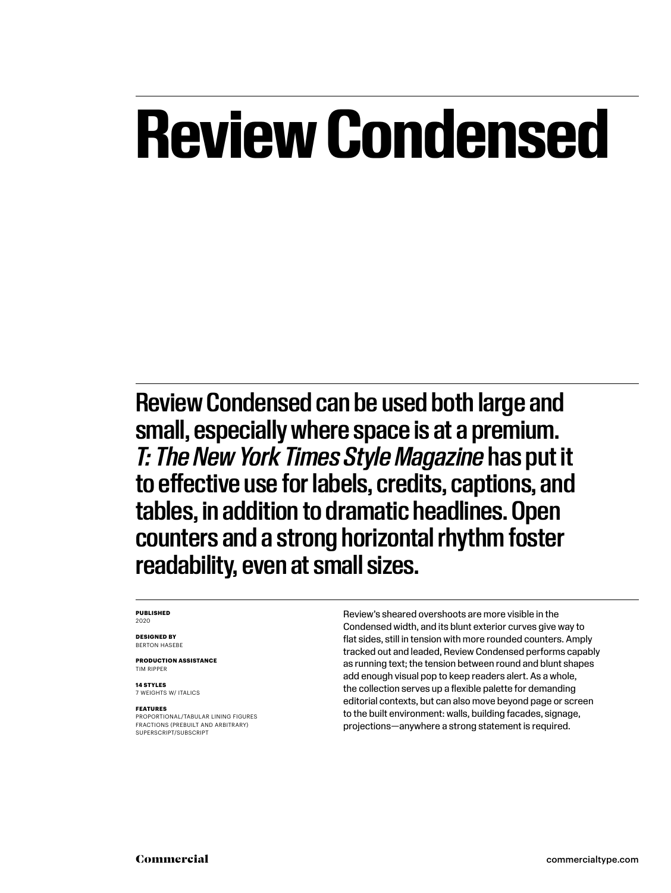## **Review Condensed**

Review Condensed can be used both large and small, especially where space is at a premium. *T: The New York Times Style Magazine* has put it to effective use for labels, credits, captions, and tables, in addition to dramatic headlines. Open counters and a strong horizontal rhythm foster readability, even at small sizes.

#### **PUBLISHED** 2020

**DESIGNED BY** BERTON HASEBE

**PRODUCTION ASSISTANCE** TIM RIPPER

**14 STYLES** 7 WEIGHTS W/ ITALICS

#### **FEATURES**

PROPORTIONAL/TABULAR LINING FIGURES FRACTIONS (PREBUILT AND ARBITRARY) SUPERSCRIPT/SUBSCRIPT

Review's sheared overshoots are more visible in the Condensed width, and its blunt exterior curves give way to flat sides, still in tension with more rounded counters. Amply tracked out and leaded, Review Condensed performs capably as running text; the tension between round and blunt shapes add enough visual pop to keep readers alert. As a whole, the collection serves up a flexible palette for demanding editorial contexts, but can also move beyond page or screen to the built environment: walls, building facades, signage, projections—anywhere a strong statement is required.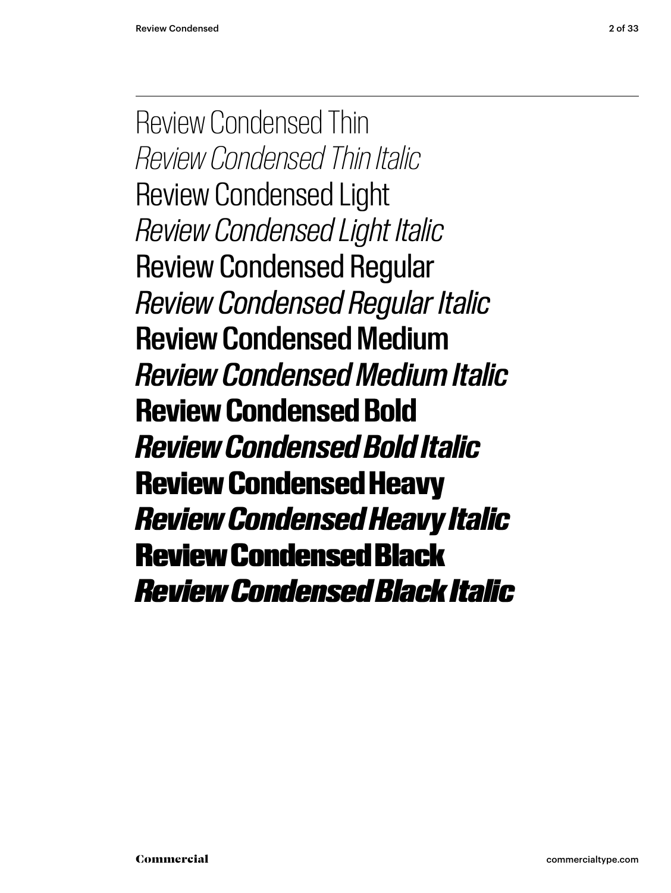Review Condensed Thin *Review Condensed Thin Italic* Review Condensed Light *Review Condensed Light Italic* Review Condensed Regular *Review Condensed Regular Italic* Review Condensed Medium *Review Condensed Medium Italic* **Review Condensed Bold** *Review Condensed Bold Italic* Review Condensed Heavy *Review Condensed Heavy Italic* Review Condensed Black *Review Condensed Black Italic*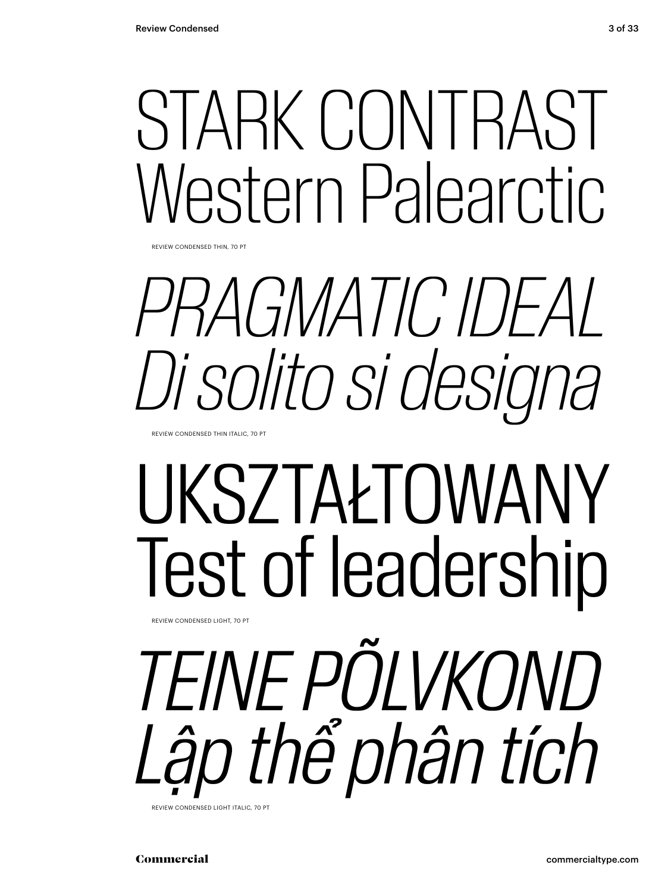## STARK CONTRAST Western Palearctic.

REVIEW CONDENSED THIN, 70 PT

# *PRAGMATIC IDEAL Di solito si designa*

REVIEW CONDENSED THIN ITALIC, 70 PT

REVIEW CONDENSED LIGHT, 70 PT

# UKSZTAŁTOWANY Test of leadership

*TEINE PÕLVKOND Lập thể phân tích*

REVIEW CONDENSED LIGHT ITALIC, 70 PT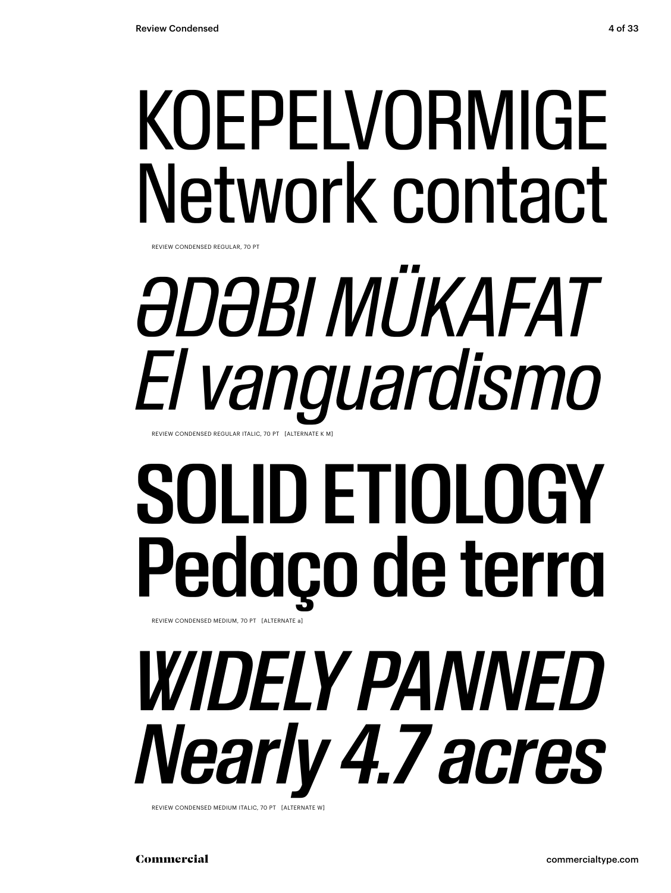## KOEPELVORMIGE Network contact

REVIEW CONDENSED REGULAR, 70 PT

## *ƏDƏBI MÜKAFAT El vanguardismo* REVIEW CONDENSED REGULAR ITALIC, 70 PT [ALTERNATE K M]

## SOLID ETIOLOGY Pedaço de terra REVIEW CONDENSED MEDIUM, 70 PT [ALTERNATE a]

*WIDELY PANNED Nearly 4.7 acres*

REVIEW CONDENSED MEDIUM ITALIC, 70 PT [ALTERNATE W]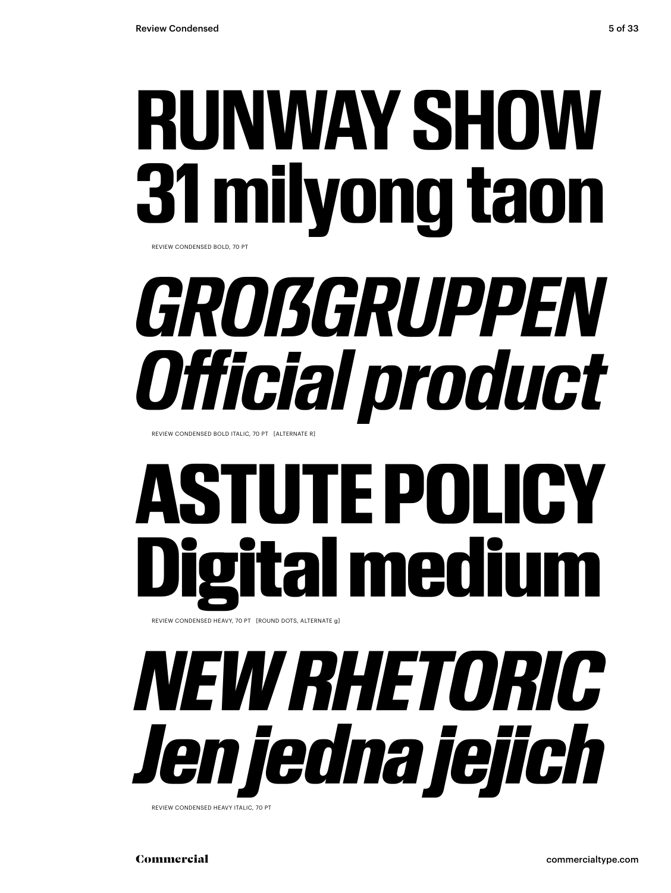## **RUNWAY SHOW 31 milyong taon** REVIEW CONDENSED BOLD, 70 PT

*GROẞGRUPPEN Official product*

REVIEW CONDENSED BOLD ITALIC, 70 PT [ALTERNATE R]

# **ASTUTE POLI** ital mediu

REVIEW CONDENSED HEAVY, 70 PT [ROUND DOTS, ALTERNATE g]

# *NEW RHETORIC Jen jedna jejich*

REVIEW CONDENSED HEAVY ITALIC, 70 PT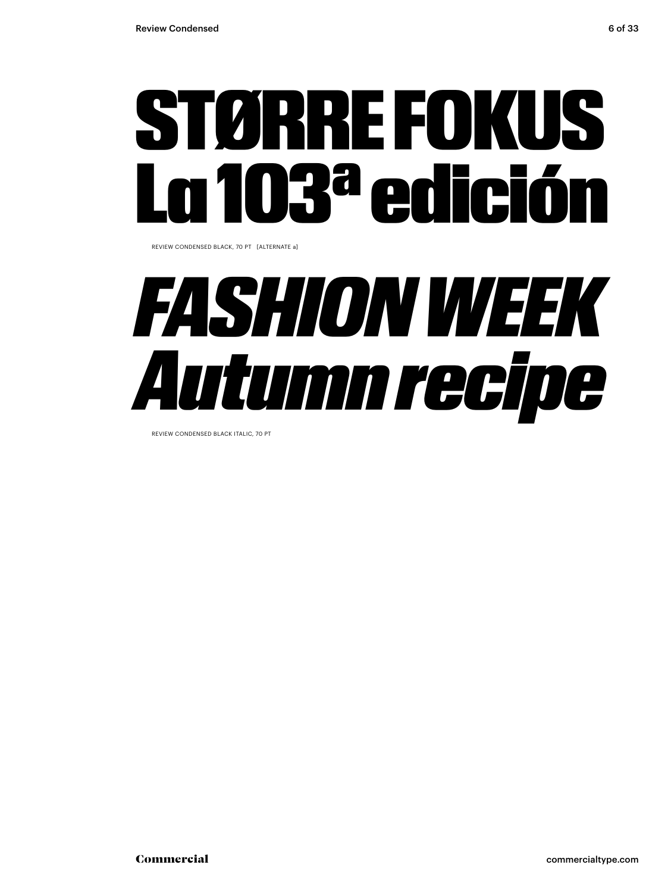

REVIEW CONDENSED BLACK, 70 PT [ALTERNATE a]

## *FASHION WEEK Autumn recipe*

REVIEW CONDENSED BLACK ITALIC, 70 PT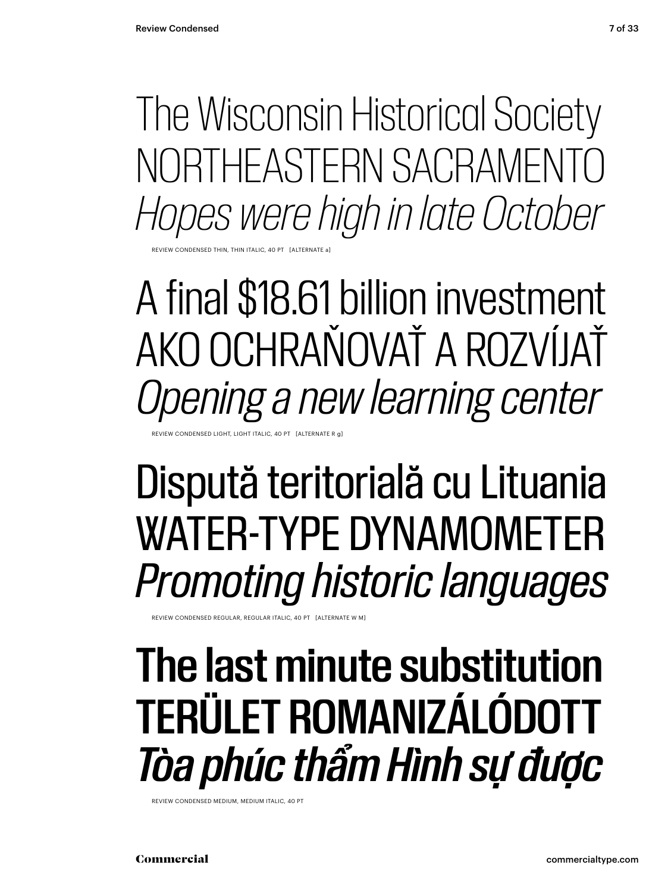The Wisconsin Historical Society NORTHEASTERN SACRAMENTO *Hopes were high in late October*

**EVIEW CONDENSED THIN** 

A final \$18.61 billion investment AKO OCHRAŇOVAŤ A ROZVÍJAŤ *Opening a new learning center*

EVIEW CONDENSED LIGHT, LIGHT ITALIC, 40 PT [ALTERNATE R

## Dispută teritorială cu Lituania WATER-TYPE DYNAMOMETER *Promoting historic languages*

REVIEW CONDENSED REGULAR, REGULAR ITALIC, 40 PT [ALTERNATE W M]

### The last minute substitution TERÜLET ROMANIZÁLÓDOTT *Tòa phúc thẩm Hình sự được*

REVIEW CONDENSED MEDIUM, MEDIUM ITALIC, 40 PT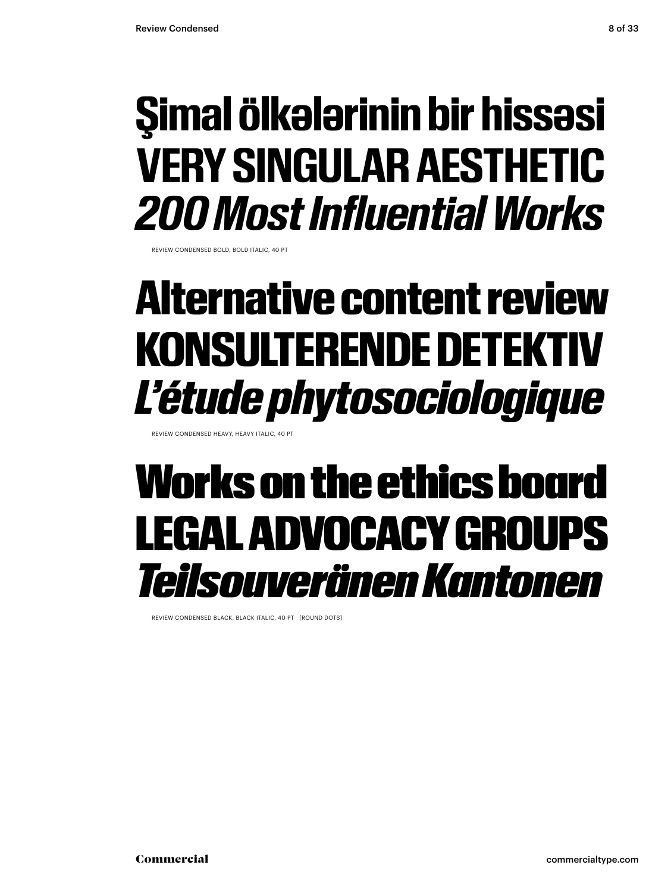### **Şimal ölkələrinin bir hissəsi VERY SINGULAR AESTHETIC** *200 Most Influential Works*

REVIEW CONDENSED BOLD, BOLD ITALIC, 40 PT

### Alternative content review KONSULTERENDE DETEKTIV *L'étude phytosociologique*

REVIEW CONDENSED HEAVY, HEAVY ITALIC, 40 PT

### Works on the ethics board LEGAL ADVOCACY GROUPS *Teilsouveränen Kantonen*

REVIEW CONDENSED BLACK, BLACK ITALIC, 40 PT [ROUND DOTS]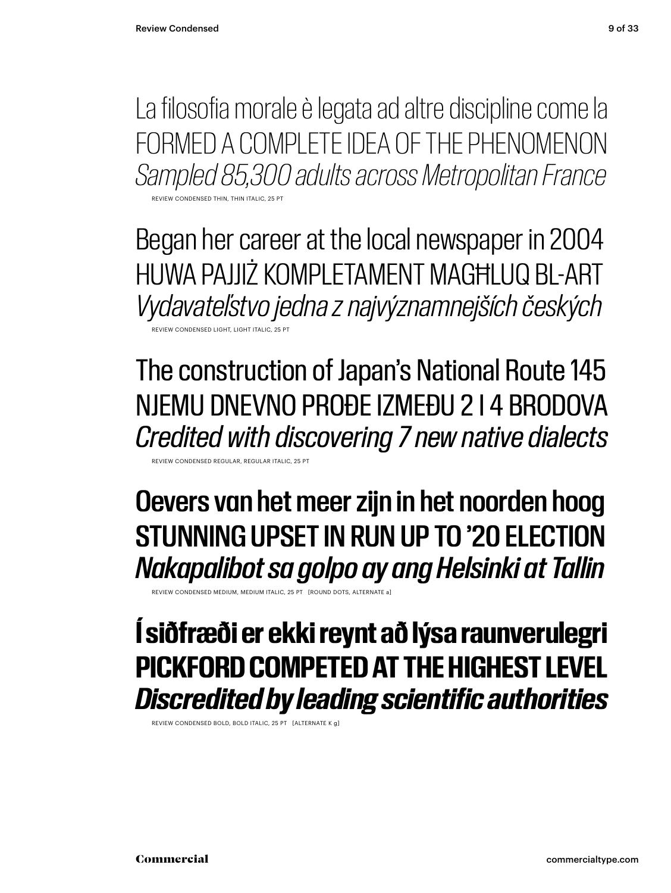La filosofia morale è legata ad altre discipline come la FORMED A COMPLETE IDEA OF THE PHENOMENON *Sampled 85,300 adults across Metropolitan France*

REVIEW CONDENSED THIN, THIN ITALIC, 25 PT

Began her career at the local newspaper in 2004 HUWA PAJJIŻ KOMPLETAMENT MAGĦLUQ BL-ART *Vydavateľstvo jedna z najvýznamnejších českých* REVIEW CONDENSED LIGHT, LIGHT ITALIC, 25 PT

The construction of Japan's National Route 145 NJEMU DNEVNO PROĐE IZMEĐU 2 I 4 BRODOVA *Credited with discovering 7 new native dialects*

REVIEW CONDENSED REGULAR, REGULAR ITALIC, 25 PT

Oevers van het meer zijn in het noorden hoog STUNNING UPSET IN RUN UP TO '20 ELECTION *Nakapalibot sa golpo ay ang Helsinki at Tallin*

REVIEW CONDENSED MEDIUM, MEDIUM ITALIC, 25 PT [ROUND DOTS, ALTERNATE a]

### **Í siðfræði er ekki reynt að lýsa raunverulegri PICKFORD COMPETED AT THE HIGHEST LEVEL** *Discredited by leading scientific authorities*

REVIEW CONDENSED BOLD, BOLD ITALIC, 25 PT [ALTERNATE K g]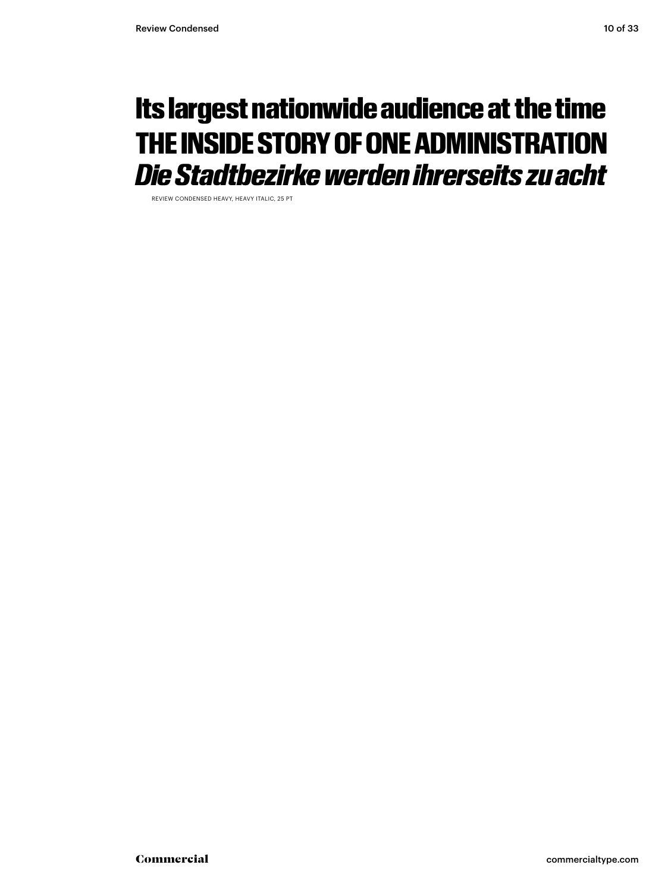### Its largest nationwide audience at the time THE INSIDE STORY OF ONE ADMINISTRATION *Die Stadtbezirke werden ihrerseits zu acht*

REVIEW CONDENSED HEAVY, HEAVY ITALIC, 25 PT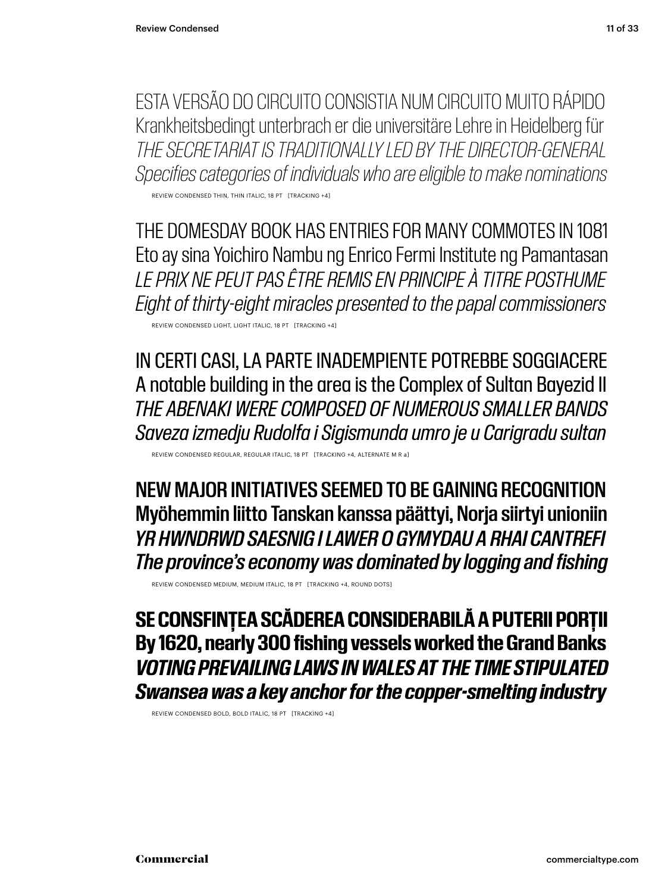ESTA VERSÃO DO CIRCUITO CONSISTIA NUM CIRCUITO MUITO RÁPIDO Krankheitsbedingt unterbrach er die universitäre Lehre in Heidelberg für *THE SECRETARIAT IS TRADITIONALLY LED BY THE DIRECTOR-GENERAL Specifies categories of individuals who are eligible to make nominations*

REVIEW CONDENSED THIN, THIN ITALIC, 18 PT [TRACKING +4]

THE DOMESDAY BOOK HAS ENTRIES FOR MANY COMMOTES IN 1081 Eto ay sina Yoichiro Nambu ng Enrico Fermi Institute ng Pamantasan *LE PRIX NE PEUT PAS ÊTRE REMIS EN PRINCIPE À TITRE POSTHUME Eight of thirty-eight miracles presented to the papal commissioners*

REVIEW CONDENSED LIGHT, LIGHT ITALIC, 18 PT [TRACKING +4]

IN CERTI CASI, LA PARTE INADEMPIENTE POTREBBE SOGGIACERE A notable building in the area is the Complex of Sultan Bayezid II *THE ABENAKI WERE COMPOSED OF NUMEROUS SMALLER BANDS Saveza izmedju Rudolfa i Sigismunda umro je u Carigradu sultan*

REVIEW CONDENSED REGULAR, REGULAR ITALIC, 18 PT [TRACKING +4, ALTERNATE M R a]

NEW MAJOR INITIATIVES SEEMED TO BE GAINING RECOGNITION Myöhemmin liitto Tanskan kanssa päättyi, Norja siirtyi unioniin *YR HWNDRWD SAESNIG I LAWER O GYMYDAU A RHAI CANTREFI The province's economy was dominated by logging and fishing*

REVIEW CONDENSED MEDIUM, MEDIUM ITALIC, 18 PT [TRACKING +4, ROUND DOTS]

**SE CONSFINȚEA SCĂDEREA CONSIDERABILĂ A PUTERII PORȚII By 1620, nearly 300 fishing vessels worked the Grand Banks** *VOTING PREVAILING LAWS IN WALES AT THE TIME STIPULATED Swansea was a key anchor for the copper-smelting industry*

REVIEW CONDENSED BOLD, BOLD ITALIC, 18 PT [TRACKING +4]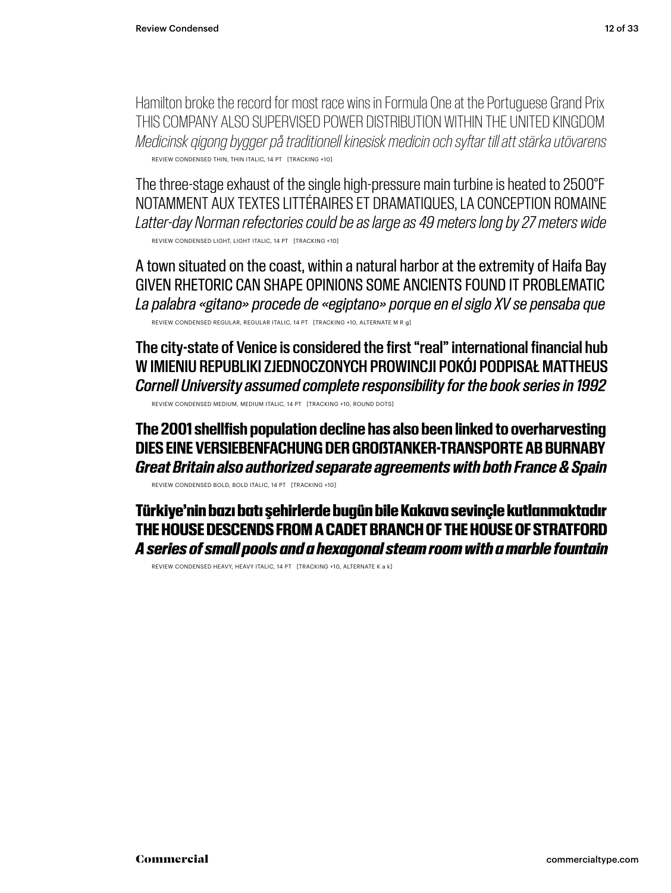Hamilton broke the record for most race wins in Formula One at the Portuguese Grand Prix THIS COMPANY ALSO SUPERVISED POWER DISTRIBUTION WITHIN THE UNITED KINGDOM *Medicinsk qigong bygger på traditionell kinesisk medicin och syftar till att stärka utövarens* REVIEW CONDENSED THIN, THIN ITALIC, 14 PT [TRACKING +10]

The three-stage exhaust of the single high-pressure main turbine is heated to 2500°F NOTAMMENT AUX TEXTES LITTÉRAIRES ET DRAMATIQUES, LA CONCEPTION ROMAINE *Latter-day Norman refectories could be as large as 49 meters long by 27 meters wide* REVIEW CONDENSED LIGHT, LIGHT ITALIC, 14 PT [TRACKING +10]

A town situated on the coast, within a natural harbor at the extremity of Haifa Bay GIVEN RHETORIC CAN SHAPE OPINIONS SOME ANCIENTS FOUND IT PROBLEMATIC *La palabra «gitano» procede de «egiptano» porque en el siglo XV se pensaba que* REVIEW CONDENSED REGULAR, REGULAR ITALIC, 14 PT [TRACKING +10, ALTERNATE M R g]

The city-state of Venice is considered the first "real" international financial hub W IMIENIU REPUBLIKI ZJEDNOCZONYCH PROWINCJI POKÓJ PODPISAŁ MATTHEUS *Cornell University assumed complete responsibility for the book series in 1992* REVIEW CONDENSED MEDIUM, MEDIUM ITALIC, 14 PT [TRACKING +10, ROUND DOTS]

**The 2001 shellfish population decline has also been linked to overharvesting DIES EINE VERSIEBENFACHUNG DER GROẞTANKER-TRANSPORTE AB BURNABY** *Great Britain also authorized separate agreements with both France & Spain*

REVIEW CONDENSED BOLD, BOLD ITALIC, 14 PT [TRACKING +10]

Türkiye'nin bazı batı şehirlerde bugün bile Kakava sevinçle kutlanmaktadır THE HOUSE DESCENDS FROM A CADET BRANCH OF THE HOUSE OF STRATFORD *A series of small pools and a hexagonal steam room with a marble fountain*

REVIEW CONDENSED HEAVY, HEAVY ITALIC, 14 PT [TRACKING +10, ALTERNATE K a k]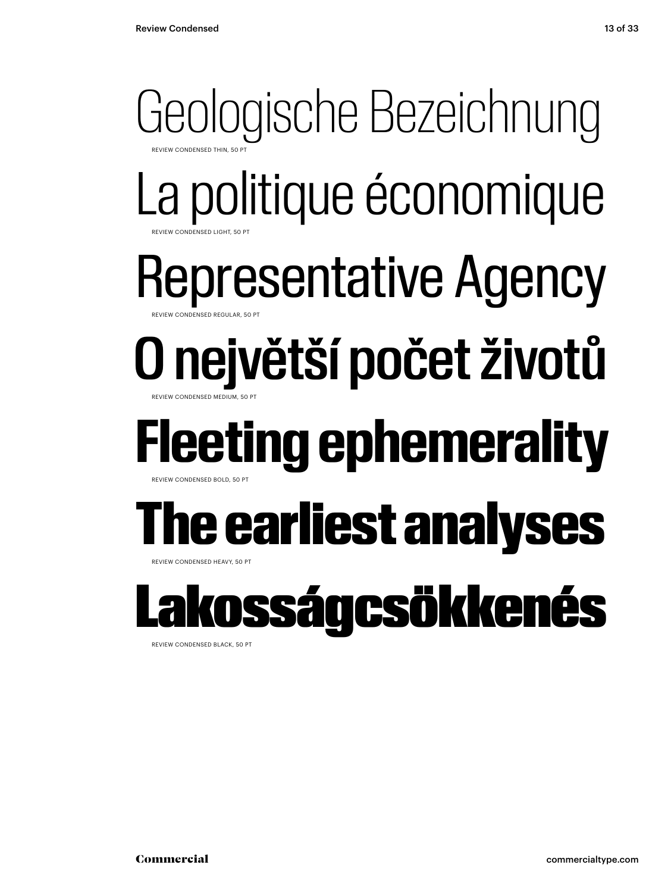### Geologische Bezeichnung **REVIEW CONDENSED THIL** La politique économique Representative Agency O největší počet životů REVIEW CONDENSED LIGHT, 50 PT ONDENSED REGULAR, 50 PT REVIEW CONDENSED MEDIUM, 50 PT **Fleeting ephemerality** REVIEW CONDENSED BOLD, 50 PT The earliest analyses REVIEW CONDENSED HEAVY, 50 PT osságcsökkenés

REVIEW CONDENSED BLACK, 50 PT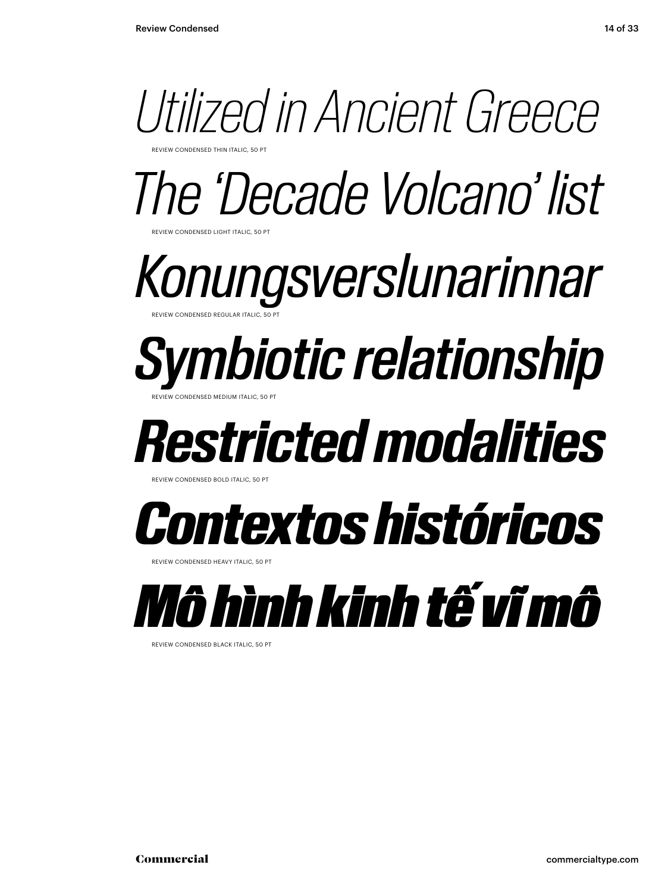

*The 'Decade Volcano' list*

*Konungsverslunarinnar* REVIEW CONDENSED REGULAR ITALIC, 50 PT

### *Symbiotic relationship* REVIEW CONDENSED MEDIUM ITALIC, 50 PT

*Restricted modalities*

REVIEW CONDENSED BOLD ITALIC, 50

**NDENSED LIGHT ITALIC, 50 PT** 



REVIEW CONDENSED HEAVY ITALIC, 50 PT



REVIEW CONDENSED BLACK ITALIC, 50 PT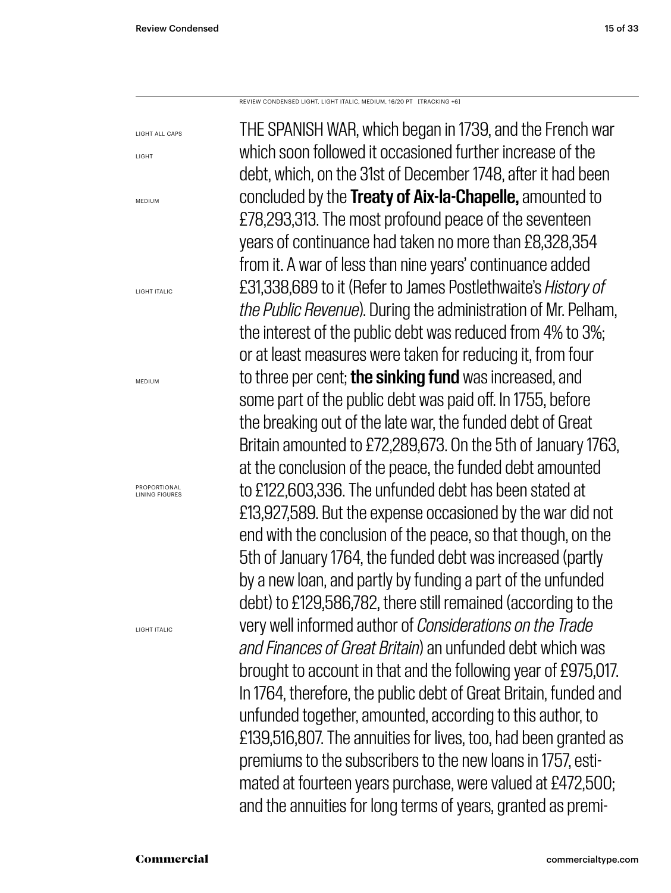LIGHT

REVIEW CONDENSED LIGHT, LIGHT ITALIC, MEDIUM, 16/20 PT [TRACKING +6]

THE SPANISH WAR, which began in 1739, and the French war which soon followed it occasioned further increase of the debt, which, on the 31st of December 1748, after it had been concluded by the Treaty of Aix-la-Chapelle, amounted to £78,293,313. The most profound peace of the seventeen years of continuance had taken no more than £8,328,354 from it. A war of less than nine years' continuance added £31,338,689 to it (Refer to James Postlethwaite's *History of the Public Revenue*). During the administration of Mr. Pelham, the interest of the public debt was reduced from 4% to 3%; or at least measures were taken for reducing it, from four to three per cent; **the sinking fund** was increased, and some part of the public debt was paid off. In 1755, before the breaking out of the late war, the funded debt of Great Britain amounted to £72,289,673. On the 5th of January 1763, at the conclusion of the peace, the funded debt amounted to £122,603,336. The unfunded debt has been stated at £13,927,589. But the expense occasioned by the war did not end with the conclusion of the peace, so that though, on the 5th of January 1764, the funded debt was increased (partly by a new loan, and partly by funding a part of the unfunded debt) to £129,586,782, there still remained (according to the very well informed author of *Considerations on the Trade and Finances of Great Britain*) an unfunded debt which was brought to account in that and the following year of £975,017. In 1764, therefore, the public debt of Great Britain, funded and unfunded together, amounted, according to this author, to £139,516,807. The annuities for lives, too, had been granted as premiums to the subscribers to the new loans in 1757, estimated at fourteen years purchase, were valued at £472,500; and the annuities for long terms of years, granted as premi-LIGHT ALL CAPS MEDIUM LIGHT ITALIC MEDIUM PROPORTIONAL LINING FIGURES LIGHT ITALIC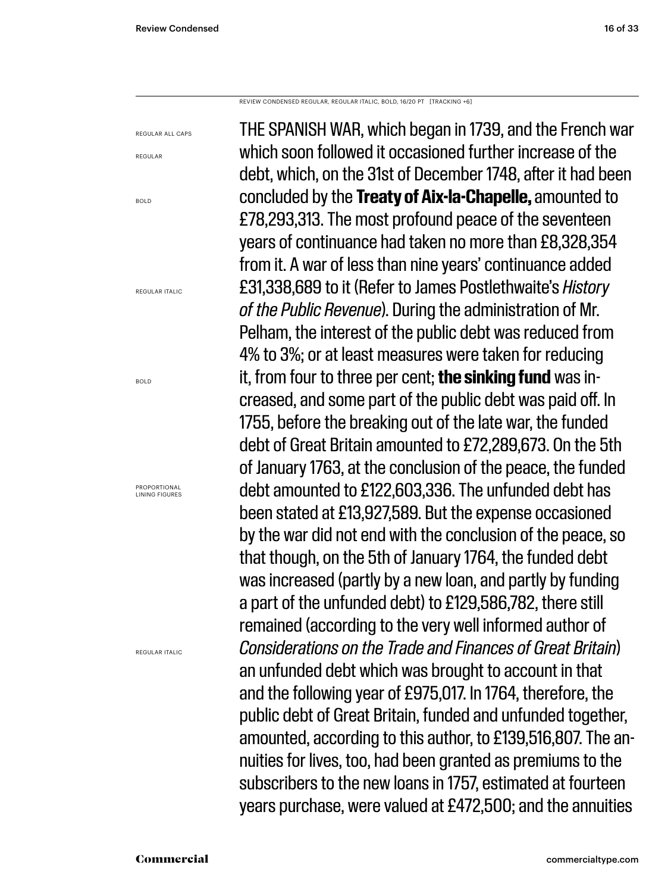REVIEW CONDENSED REGULAR, REGULAR ITALIC, BOLD, 16/20 PT [TRACKING +6]

REGULAR ALL CAPS

REGULAR

BOLD

REGULAR ITALIC

BOLD

PROPORTIONAL LINING FIGURES

REGULAR ITALIC

THE SPANISH WAR, which began in 1739, and the French war which soon followed it occasioned further increase of the debt, which, on the 31st of December 1748, after it had been concluded by the **Treaty of Aix-la-Chapelle,** amounted to £78,293,313. The most profound peace of the seventeen years of continuance had taken no more than £8,328,354 from it. A war of less than nine years' continuance added £31,338,689 to it (Refer to James Postlethwaite's *History of the Public Revenue*). During the administration of Mr. Pelham, the interest of the public debt was reduced from 4% to 3%; or at least measures were taken for reducing it, from four to three per cent; **the sinking fund** was increased, and some part of the public debt was paid off. In 1755, before the breaking out of the late war, the funded debt of Great Britain amounted to £72,289,673. On the 5th of January 1763, at the conclusion of the peace, the funded debt amounted to £122,603,336. The unfunded debt has been stated at £13,927,589. But the expense occasioned by the war did not end with the conclusion of the peace, so that though, on the 5th of January 1764, the funded debt was increased (partly by a new loan, and partly by funding a part of the unfunded debt) to £129,586,782, there still remained (according to the very well informed author of *Considerations on the Trade and Finances of Great Britain*) an unfunded debt which was brought to account in that and the following year of £975,017. In 1764, therefore, the public debt of Great Britain, funded and unfunded together, amounted, according to this author, to £139,516,807. The annuities for lives, too, had been granted as premiums to the subscribers to the new loans in 1757, estimated at fourteen years purchase, were valued at £472,500; and the annuities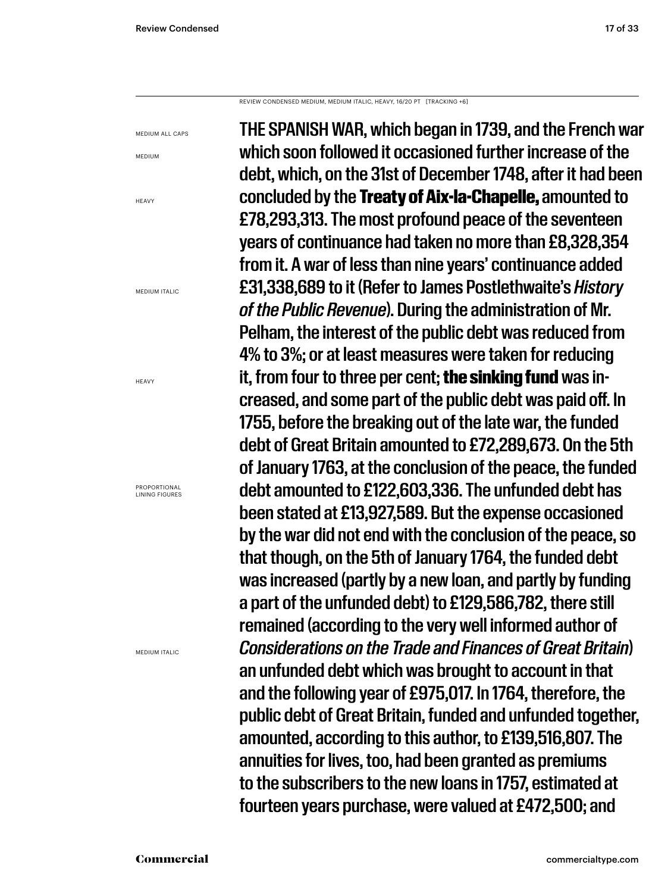REVIEW CONDENSED MEDIUM, MEDIUM ITALIC, HEAVY, 16/20 PT [TRACKING +6]

MEDIUM ALL CAPS

MEDIUM

**HFAVY** 

MEDIUM ITALIC

HEAVY

PROPORTIONAL LINING FIGURES

MEDIUM ITALIC

THE SPANISH WAR, which began in 1739, and the French war which soon followed it occasioned further increase of the debt, which, on the 31st of December 1748, after it had been concluded by the Treaty of Aix-la-Chapelle, amounted to £78,293,313. The most profound peace of the seventeen years of continuance had taken no more than £8,328,354 from it. A war of less than nine years' continuance added £31,338,689 to it (Refer to James Postlethwaite's *History of the Public Revenue*). During the administration of Mr. Pelham, the interest of the public debt was reduced from 4% to 3%; or at least measures were taken for reducing it, from four to three per cent; the sinking fund was increased, and some part of the public debt was paid off. In 1755, before the breaking out of the late war, the funded debt of Great Britain amounted to £72,289,673. On the 5th of January 1763, at the conclusion of the peace, the funded debt amounted to £122,603,336. The unfunded debt has been stated at £13,927,589. But the expense occasioned by the war did not end with the conclusion of the peace, so that though, on the 5th of January 1764, the funded debt was increased (partly by a new loan, and partly by funding a part of the unfunded debt) to £129,586,782, there still remained (according to the very well informed author of *Considerations on the Trade and Finances of Great Britain*) an unfunded debt which was brought to account in that and the following year of £975,017. In 1764, therefore, the public debt of Great Britain, funded and unfunded together, amounted, according to this author, to £139,516,807. The annuities for lives, too, had been granted as premiums to the subscribers to the new loans in 1757, estimated at fourteen years purchase, were valued at £472,500; and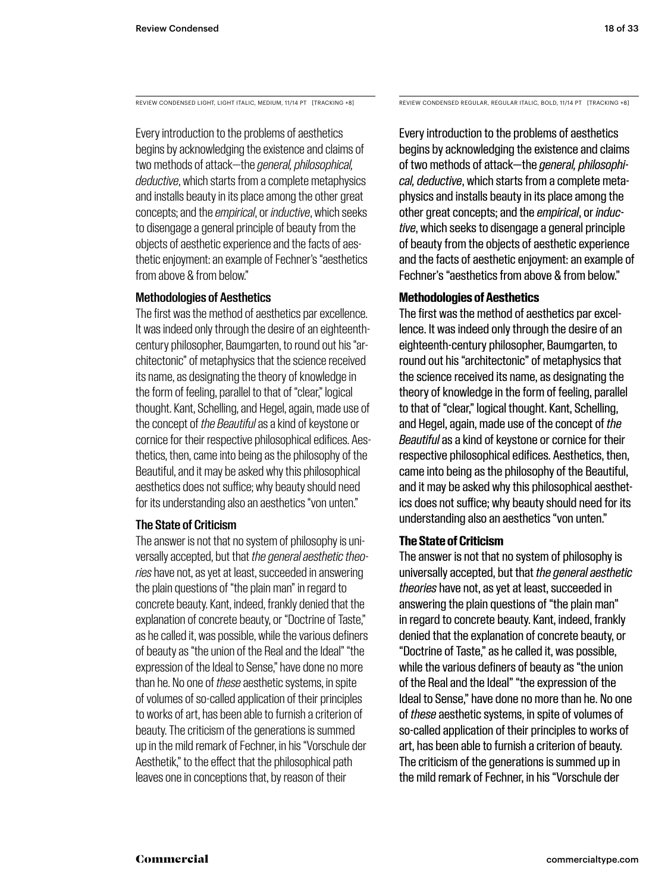REVIEW CONDENSED LIGHT, LIGHT ITALIC, MEDIUM, 11/14 PT [TRACKING +8]

Every introduction to the problems of aesthetics begins by acknowledging the existence and claims of two methods of attack—the *general, philosophical, deductive*, which starts from a complete metaphysics and installs beauty in its place among the other great concepts; and the *empirical*, or *inductive*, which seeks to disengage a general principle of beauty from the objects of aesthetic experience and the facts of aesthetic enjoyment: an example of Fechner's "aesthetics from above & from below."

#### Methodologies of Aesthetics

The first was the method of aesthetics par excellence. It was indeed only through the desire of an eighteenthcentury philosopher, Baumgarten, to round out his "architectonic" of metaphysics that the science received its name, as designating the theory of knowledge in the form of feeling, parallel to that of "clear," logical thought. Kant, Schelling, and Hegel, again, made use of the concept of *the Beautiful* as a kind of keystone or cornice for their respective philosophical edifices. Aesthetics, then, came into being as the philosophy of the Beautiful, and it may be asked why this philosophical aesthetics does not suffice; why beauty should need for its understanding also an aesthetics "von unten."

#### The State of Criticism

The answer is not that no system of philosophy is universally accepted, but that *the general aesthetic theories* have not, as yet at least, succeeded in answering the plain questions of "the plain man" in regard to concrete beauty. Kant, indeed, frankly denied that the explanation of concrete beauty, or "Doctrine of Taste," as he called it, was possible, while the various definers of beauty as "the union of the Real and the Ideal" "the expression of the Ideal to Sense," have done no more than he. No one of *these* aesthetic systems, in spite of volumes of so-called application of their principles to works of art, has been able to furnish a criterion of beauty. The criticism of the generations is summed up in the mild remark of Fechner, in his "Vorschule der Aesthetik," to the effect that the philosophical path leaves one in conceptions that, by reason of their

REVIEW CONDENSED REGULAR, REGULAR ITALIC, BOLD, 11/14 PT [TRACKING +8]

Every introduction to the problems of aesthetics begins by acknowledging the existence and claims of two methods of attack—the *general, philosophical, deductive*, which starts from a complete metaphysics and installs beauty in its place among the other great concepts; and the *empirical*, or *inductive*, which seeks to disengage a general principle of beauty from the objects of aesthetic experience and the facts of aesthetic enjoyment: an example of Fechner's "aesthetics from above & from below."

#### **Methodologies of Aesthetics**

The first was the method of aesthetics par excellence. It was indeed only through the desire of an eighteenth-century philosopher, Baumgarten, to round out his "architectonic" of metaphysics that the science received its name, as designating the theory of knowledge in the form of feeling, parallel to that of "clear," logical thought. Kant, Schelling, and Hegel, again, made use of the concept of *the Beautiful* as a kind of keystone or cornice for their respective philosophical edifices. Aesthetics, then, came into being as the philosophy of the Beautiful, and it may be asked why this philosophical aesthetics does not suffice; why beauty should need for its understanding also an aesthetics "von unten."

#### **The State of Criticism**

The answer is not that no system of philosophy is universally accepted, but that *the general aesthetic theories* have not, as yet at least, succeeded in answering the plain questions of "the plain man" in regard to concrete beauty. Kant, indeed, frankly denied that the explanation of concrete beauty, or "Doctrine of Taste," as he called it, was possible, while the various definers of beauty as "the union of the Real and the Ideal" "the expression of the Ideal to Sense," have done no more than he. No one of *these* aesthetic systems, in spite of volumes of so-called application of their principles to works of art, has been able to furnish a criterion of beauty. The criticism of the generations is summed up in the mild remark of Fechner, in his "Vorschule der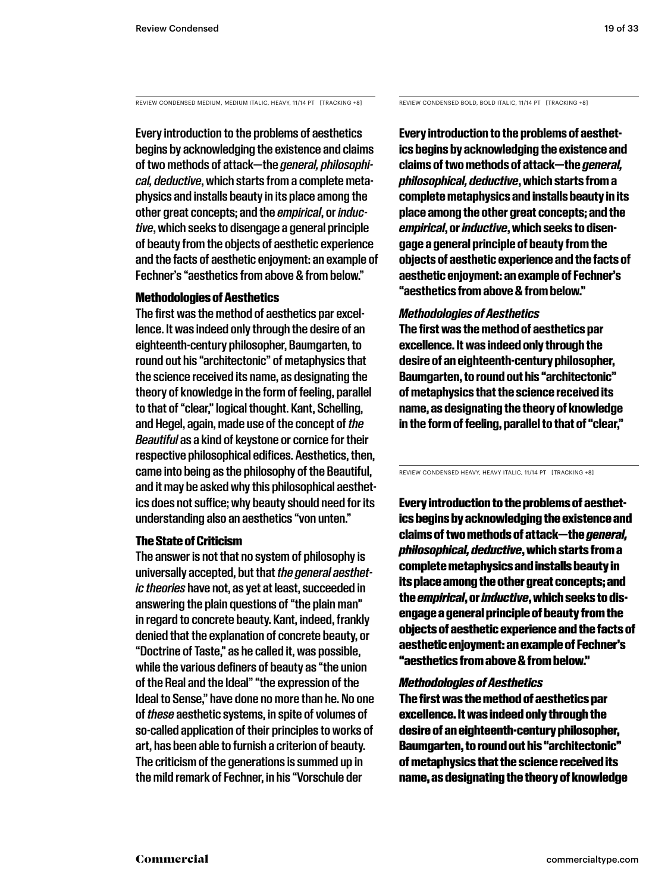REVIEW CONDENSED MEDIUM, MEDIUM ITALIC, HEAVY, 11/14 PT [TRACKING +8]

Every introduction to the problems of aesthetics begins by acknowledging the existence and claims of two methods of attack—the *general, philosophical, deductive*, which starts from a complete metaphysics and installs beauty in its place among the other great concepts; and the *empirical*, or *inductive*, which seeks to disengage a general principle of beauty from the objects of aesthetic experience and the facts of aesthetic enjoyment: an example of Fechner's "aesthetics from above & from below."

#### Methodologies of Aesthetics

The first was the method of aesthetics par excellence. It was indeed only through the desire of an eighteenth-century philosopher, Baumgarten, to round out his "architectonic" of metaphysics that the science received its name, as designating the theory of knowledge in the form of feeling, parallel to that of "clear," logical thought. Kant, Schelling, and Hegel, again, made use of the concept of *the Beautiful* as a kind of keystone or cornice for their respective philosophical edifices. Aesthetics, then, came into being as the philosophy of the Beautiful, and it may be asked why this philosophical aesthetics does not suffice; why beauty should need for its understanding also an aesthetics "von unten."

#### The State of Criticism

The answer is not that no system of philosophy is universally accepted, but that *the general aesthetic theories* have not, as yet at least, succeeded in answering the plain questions of "the plain man" in regard to concrete beauty. Kant, indeed, frankly denied that the explanation of concrete beauty, or "Doctrine of Taste," as he called it, was possible, while the various definers of beauty as "the union of the Real and the Ideal" "the expression of the Ideal to Sense," have done no more than he. No one of *these* aesthetic systems, in spite of volumes of so-called application of their principles to works of art, has been able to furnish a criterion of beauty. The criticism of the generations is summed up in the mild remark of Fechner, in his "Vorschule der

REVIEW CONDENSED BOLD, BOLD ITALIC, 11/14 PT [TRACKING +8]

**Every introduction to the problems of aesthetics begins by acknowledging the existence and claims of two methods of attack—the** *general, philosophical, deductive***, which starts from a complete metaphysics and installs beauty in its place among the other great concepts; and the**  *empirical***, or** *inductive***, which seeks to disengage a general principle of beauty from the objects of aesthetic experience and the facts of aesthetic enjoyment: an example of Fechner's "aesthetics from above & from below."** 

#### *Methodologies of Aesthetics*

**The first was the method of aesthetics par excellence. It was indeed only through the desire of an eighteenth-century philosopher, Baumgarten, to round out his "architectonic" of metaphysics that the science received its name, as designating the theory of knowledge in the form of feeling, parallel to that of "clear,"** 

REVIEW CONDENSED HEAVY, HEAVY ITALIC, 11/14 PT [TRACKING +8]

Every introduction to the problems of aesthetics begins by acknowledging the existence and claims of two methods of attack—the *general, philosophical, deductive*, which starts from a complete metaphysics and installs beauty in its place among the other great concepts; and the *empirical*, or *inductive*, which seeks to disengage a general principle of beauty from the objects of aesthetic experience and the facts of aesthetic enjoyment: an example of Fechner's "aesthetics from above & from below."

#### *Methodologies of Aesthetics*

The first was the method of aesthetics par excellence. It was indeed only through the desire of an eighteenth-century philosopher, Baumgarten, to round out his "architectonic" of metaphysics that the science received its name, as designating the theory of knowledge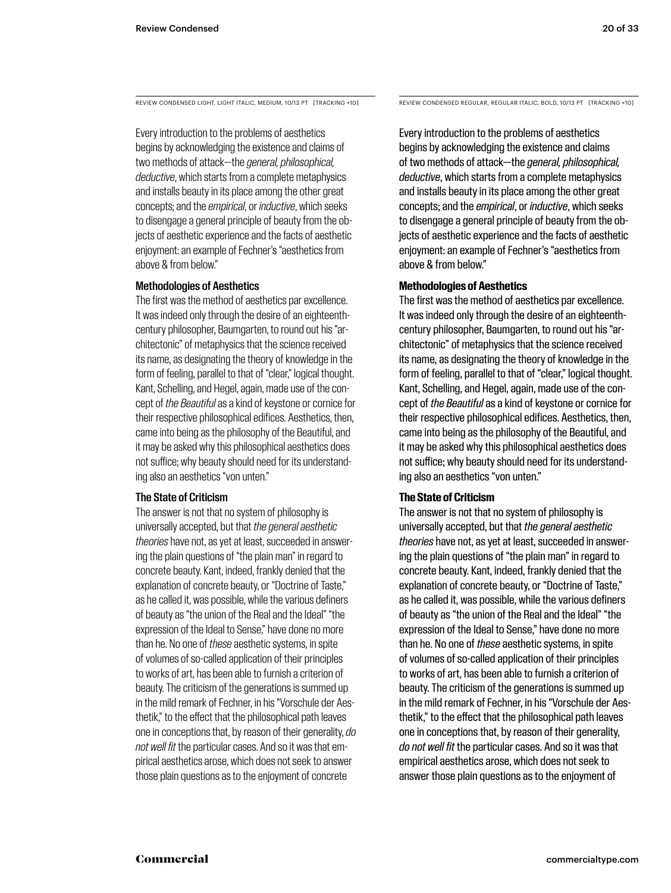Every introduction to the problems of aesthetics begins by acknowledging the existence and claims of two methods of attack—the *general, philosophical, deductive*, which starts from a complete metaphysics and installs beauty in its place among the other great concepts; and the *empirical*, or *inductive*, which seeks to disengage a general principle of beauty from the objects of aesthetic experience and the facts of aesthetic enjoyment: an example of Fechner's "aesthetics from above & from below."

#### Methodologies of Aesthetics

The first was the method of aesthetics par excellence. It was indeed only through the desire of an eighteenthcentury philosopher, Baumgarten, to round out his "architectonic" of metaphysics that the science received its name, as designating the theory of knowledge in the form of feeling, parallel to that of "clear," logical thought. Kant, Schelling, and Hegel, again, made use of the concept of *the Beautiful* as a kind of keystone or cornice for their respective philosophical edifices. Aesthetics, then, came into being as the philosophy of the Beautiful, and it may be asked why this philosophical aesthetics does not suffice; why beauty should need for its understanding also an aesthetics "von unten."

#### The State of Criticism

The answer is not that no system of philosophy is universally accepted, but that *the general aesthetic theories* have not, as yet at least, succeeded in answering the plain questions of "the plain man" in regard to concrete beauty. Kant, indeed, frankly denied that the explanation of concrete beauty, or "Doctrine of Taste," as he called it, was possible, while the various definers of beauty as "the union of the Real and the Ideal" "the expression of the Ideal to Sense," have done no more than he. No one of *these* aesthetic systems, in spite of volumes of so-called application of their principles to works of art, has been able to furnish a criterion of beauty. The criticism of the generations is summed up in the mild remark of Fechner, in his "Vorschule der Aesthetik," to the effect that the philosophical path leaves one in conceptions that, by reason of their generality, *do not well fit* the particular cases. And so it was that empirical aesthetics arose, which does not seek to answer those plain questions as to the enjoyment of concrete

REVIEW CONDENSED LIGHT, LIGHT ITALIC, MEDIUM, 10/13 PT [TRACKING +10] REVIEW CONDENSED REGULAR, REGULAR ITALIC, BOLD, 10/13 PT [TRACKING +10]

Every introduction to the problems of aesthetics begins by acknowledging the existence and claims of two methods of attack—the *general, philosophical, deductive*, which starts from a complete metaphysics and installs beauty in its place among the other great concepts; and the *empirical*, or *inductive*, which seeks to disengage a general principle of beauty from the objects of aesthetic experience and the facts of aesthetic enjoyment: an example of Fechner's "aesthetics from above & from below."

#### **Methodologies of Aesthetics**

The first was the method of aesthetics par excellence. It was indeed only through the desire of an eighteenthcentury philosopher, Baumgarten, to round out his "architectonic" of metaphysics that the science received its name, as designating the theory of knowledge in the form of feeling, parallel to that of "clear," logical thought. Kant, Schelling, and Hegel, again, made use of the concept of *the Beautiful* as a kind of keystone or cornice for their respective philosophical edifices. Aesthetics, then, came into being as the philosophy of the Beautiful, and it may be asked why this philosophical aesthetics does not suffice; why beauty should need for its understanding also an aesthetics "von unten."

#### **The State of Criticism**

The answer is not that no system of philosophy is universally accepted, but that *the general aesthetic theories* have not, as yet at least, succeeded in answering the plain questions of "the plain man" in regard to concrete beauty. Kant, indeed, frankly denied that the explanation of concrete beauty, or "Doctrine of Taste," as he called it, was possible, while the various definers of beauty as "the union of the Real and the Ideal" "the expression of the Ideal to Sense," have done no more than he. No one of *these* aesthetic systems, in spite of volumes of so-called application of their principles to works of art, has been able to furnish a criterion of beauty. The criticism of the generations is summed up in the mild remark of Fechner, in his "Vorschule der Aesthetik," to the effect that the philosophical path leaves one in conceptions that, by reason of their generality, *do not well fit* the particular cases. And so it was that empirical aesthetics arose, which does not seek to answer those plain questions as to the enjoyment of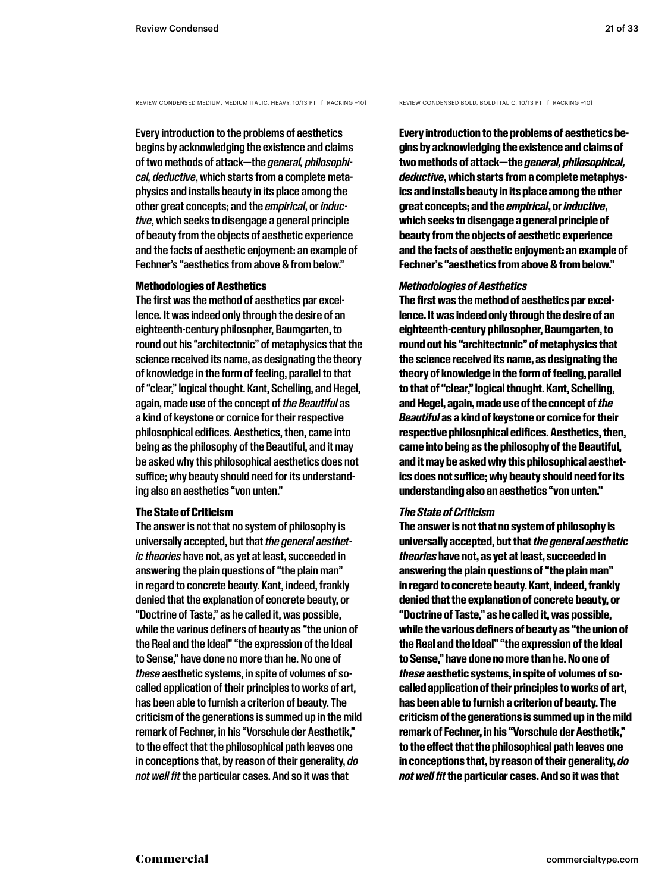REVIEW CONDENSED MEDIUM, MEDIUM ITALIC, HEAVY, 10/13 PT [TRACKING +10]

Every introduction to the problems of aesthetics begins by acknowledging the existence and claims of two methods of attack—the *general, philosophical, deductive*, which starts from a complete metaphysics and installs beauty in its place among the other great concepts; and the *empirical*, or *inductive*, which seeks to disengage a general principle of beauty from the objects of aesthetic experience and the facts of aesthetic enjoyment: an example of Fechner's "aesthetics from above & from below."

#### Methodologies of Aesthetics

The first was the method of aesthetics par excellence. It was indeed only through the desire of an eighteenth-century philosopher, Baumgarten, to round out his "architectonic" of metaphysics that the science received its name, as designating the theory of knowledge in the form of feeling, parallel to that of "clear," logical thought. Kant, Schelling, and Hegel, again, made use of the concept of *the Beautiful* as a kind of keystone or cornice for their respective philosophical edifices. Aesthetics, then, came into being as the philosophy of the Beautiful, and it may be asked why this philosophical aesthetics does not suffice; why beauty should need for its understanding also an aesthetics "von unten."

#### The State of Criticism

The answer is not that no system of philosophy is universally accepted, but that *the general aesthetic theories* have not, as yet at least, succeeded in answering the plain questions of "the plain man" in regard to concrete beauty. Kant, indeed, frankly denied that the explanation of concrete beauty, or "Doctrine of Taste," as he called it, was possible, while the various definers of beauty as "the union of the Real and the Ideal" "the expression of the Ideal to Sense," have done no more than he. No one of *these* aesthetic systems, in spite of volumes of socalled application of their principles to works of art, has been able to furnish a criterion of beauty. The criticism of the generations is summed up in the mild remark of Fechner, in his "Vorschule der Aesthetik," to the effect that the philosophical path leaves one in conceptions that, by reason of their generality, *do not well fit* the particular cases. And so it was that

REVIEW CONDENSED BOLD, BOLD ITALIC, 10/13 PT [TRACKING +10]

**Every introduction to the problems of aesthetics begins by acknowledging the existence and claims of two methods of attack—the** *general, philosophical, deductive***, which starts from a complete metaphysics and installs beauty in its place among the other great concepts; and the** *empirical***, or** *inductive***, which seeks to disengage a general principle of beauty from the objects of aesthetic experience and the facts of aesthetic enjoyment: an example of Fechner's "aesthetics from above & from below."** 

#### *Methodologies of Aesthetics*

**The first was the method of aesthetics par excellence. It was indeed only through the desire of an eighteenth-century philosopher, Baumgarten, to round out his "architectonic" of metaphysics that the science received its name, as designating the theory of knowledge in the form of feeling, parallel to that of "clear," logical thought. Kant, Schelling, and Hegel, again, made use of the concept of** *the Beautiful* **as a kind of keystone or cornice for their respective philosophical edifices. Aesthetics, then, came into being as the philosophy of the Beautiful, and it may be asked why this philosophical aesthetics does not suffice; why beauty should need for its understanding also an aesthetics "von unten."** 

#### *The State of Criticism*

**The answer is not that no system of philosophy is universally accepted, but that** *the general aesthetic theories* **have not, as yet at least, succeeded in answering the plain questions of "the plain man" in regard to concrete beauty. Kant, indeed, frankly denied that the explanation of concrete beauty, or "Doctrine of Taste," as he called it, was possible, while the various definers of beauty as "the union of the Real and the Ideal" "the expression of the Ideal to Sense," have done no more than he. No one of**  *these* **aesthetic systems, in spite of volumes of socalled application of their principles to works of art, has been able to furnish a criterion of beauty. The criticism of the generations is summed up in the mild remark of Fechner, in his "Vorschule der Aesthetik," to the effect that the philosophical path leaves one in conceptions that, by reason of their generality,** *do not well fit* **the particular cases. And so it was that**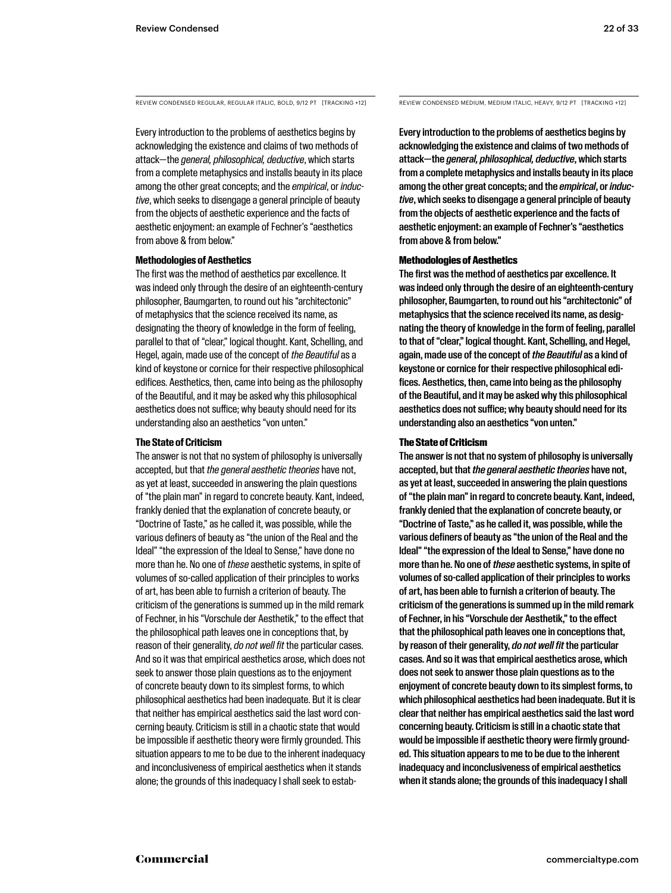REVIEW CONDENSED REGULAR, REGULAR ITALIC, BOLD, 9/12 PT [TRACKING +12] REVIEW CONDENSED MEDIUM, MEDIUM ITALIC, HEAVY, 9/12 PT [TRACKING +12]

Every introduction to the problems of aesthetics begins by acknowledging the existence and claims of two methods of attack—the *general, philosophical, deductive*, which starts from a complete metaphysics and installs beauty in its place among the other great concepts; and the *empirical*, or *inductive*, which seeks to disengage a general principle of beauty from the objects of aesthetic experience and the facts of aesthetic enjoyment: an example of Fechner's "aesthetics from above & from below."

#### **Methodologies of Aesthetics**

The first was the method of aesthetics par excellence. It was indeed only through the desire of an eighteenth-century philosopher, Baumgarten, to round out his "architectonic" of metaphysics that the science received its name, as designating the theory of knowledge in the form of feeling, parallel to that of "clear," logical thought. Kant, Schelling, and Hegel, again, made use of the concept of *the Beautiful* as a kind of keystone or cornice for their respective philosophical edifices. Aesthetics, then, came into being as the philosophy of the Beautiful, and it may be asked why this philosophical aesthetics does not suffice; why beauty should need for its understanding also an aesthetics "von unten."

#### **The State of Criticism**

The answer is not that no system of philosophy is universally accepted, but that *the general aesthetic theories* have not, as yet at least, succeeded in answering the plain questions of "the plain man" in regard to concrete beauty. Kant, indeed, frankly denied that the explanation of concrete beauty, or "Doctrine of Taste," as he called it, was possible, while the various definers of beauty as "the union of the Real and the Ideal" "the expression of the Ideal to Sense," have done no more than he. No one of *these* aesthetic systems, in spite of volumes of so-called application of their principles to works of art, has been able to furnish a criterion of beauty. The criticism of the generations is summed up in the mild remark of Fechner, in his "Vorschule der Aesthetik," to the effect that the philosophical path leaves one in conceptions that, by reason of their generality, *do not well fit* the particular cases. And so it was that empirical aesthetics arose, which does not seek to answer those plain questions as to the enjoyment of concrete beauty down to its simplest forms, to which philosophical aesthetics had been inadequate. But it is clear that neither has empirical aesthetics said the last word concerning beauty. Criticism is still in a chaotic state that would be impossible if aesthetic theory were firmly grounded. This situation appears to me to be due to the inherent inadequacy and inconclusiveness of empirical aesthetics when it stands alone; the grounds of this inadequacy I shall seek to estab-

Every introduction to the problems of aesthetics begins by acknowledging the existence and claims of two methods of attack—the *general, philosophical, deductive*, which starts from a complete metaphysics and installs beauty in its place among the other great concepts; and the *empirical*, or *inductive*, which seeks to disengage a general principle of beauty from the objects of aesthetic experience and the facts of aesthetic enjoyment: an example of Fechner's "aesthetics from above & from below."

#### Methodologies of Aesthetics

The first was the method of aesthetics par excellence. It was indeed only through the desire of an eighteenth-century philosopher, Baumgarten, to round out his "architectonic" of metaphysics that the science received its name, as designating the theory of knowledge in the form of feeling, parallel to that of "clear," logical thought. Kant, Schelling, and Hegel, again, made use of the concept of *the Beautiful* as a kind of keystone or cornice for their respective philosophical edifices. Aesthetics, then, came into being as the philosophy of the Beautiful, and it may be asked why this philosophical aesthetics does not suffice; why beauty should need for its understanding also an aesthetics "von unten."

#### The State of Criticism

The answer is not that no system of philosophy is universally accepted, but that *the general aesthetic theories* have not, as yet at least, succeeded in answering the plain questions of "the plain man" in regard to concrete beauty. Kant, indeed, frankly denied that the explanation of concrete beauty, or "Doctrine of Taste," as he called it, was possible, while the various definers of beauty as "the union of the Real and the Ideal" "the expression of the Ideal to Sense," have done no more than he. No one of *these* aesthetic systems, in spite of volumes of so-called application of their principles to works of art, has been able to furnish a criterion of beauty. The criticism of the generations is summed up in the mild remark of Fechner, in his "Vorschule der Aesthetik," to the effect that the philosophical path leaves one in conceptions that, by reason of their generality, *do not well fit* the particular cases. And so it was that empirical aesthetics arose, which does not seek to answer those plain questions as to the enjoyment of concrete beauty down to its simplest forms, to which philosophical aesthetics had been inadequate. But it is clear that neither has empirical aesthetics said the last word concerning beauty. Criticism is still in a chaotic state that would be impossible if aesthetic theory were firmly grounded. This situation appears to me to be due to the inherent inadequacy and inconclusiveness of empirical aesthetics when it stands alone; the grounds of this inadequacy I shall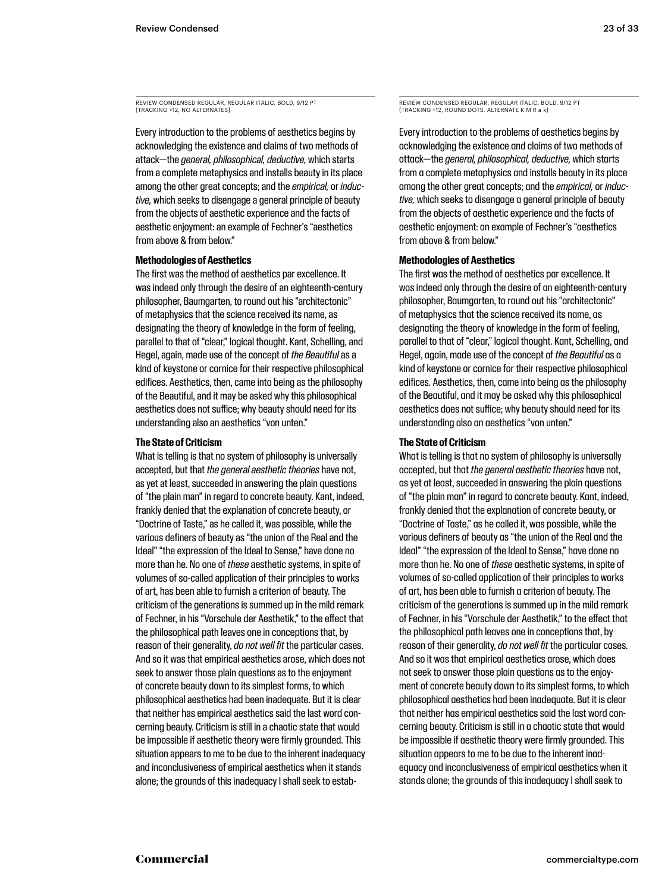REVIEW CONDENSED REGULAR, REGULAR ITALIC, BOLD, 9/12 PT **ITRACKING +12, NO ALTERNATES** 

Every introduction to the problems of aesthetics begins by acknowledging the existence and claims of two methods of attack—the *general, philosophical, deductive,* which starts from a complete metaphysics and installs beauty in its place among the other great concepts; and the *empirical,* or *inductive,* which seeks to disengage a general principle of beauty from the objects of aesthetic experience and the facts of aesthetic enjoyment: an example of Fechner's "aesthetics from above & from below."

#### **Methodologies of Aesthetics**

The first was the method of aesthetics par excellence. It was indeed only through the desire of an eighteenth-century philosopher, Baumgarten, to round out his "architectonic" of metaphysics that the science received its name, as designating the theory of knowledge in the form of feeling, parallel to that of "clear," logical thought. Kant, Schelling, and Hegel, again, made use of the concept of *the Beautiful* as a kind of keystone or cornice for their respective philosophical edifices. Aesthetics, then, came into being as the philosophy of the Beautiful, and it may be asked why this philosophical aesthetics does not suffice; why beauty should need for its understanding also an aesthetics "von unten."

#### **The State of Criticism**

What is telling is that no system of philosophy is universally accepted, but that *the general aesthetic theories* have not, as yet at least, succeeded in answering the plain questions of "the plain man" in regard to concrete beauty. Kant, indeed, frankly denied that the explanation of concrete beauty, or "Doctrine of Taste," as he called it, was possible, while the various definers of beauty as "the union of the Real and the Ideal" "the expression of the Ideal to Sense," have done no more than he. No one of *these* aesthetic systems, in spite of volumes of so-called application of their principles to works of art, has been able to furnish a criterion of beauty. The criticism of the generations is summed up in the mild remark of Fechner, in his "Vorschule der Aesthetik," to the effect that the philosophical path leaves one in conceptions that, by reason of their generality, *do not well fit* the particular cases. And so it was that empirical aesthetics arose, which does not seek to answer those plain questions as to the enjoyment of concrete beauty down to its simplest forms, to which philosophical aesthetics had been inadequate. But it is clear that neither has empirical aesthetics said the last word concerning beauty. Criticism is still in a chaotic state that would be impossible if aesthetic theory were firmly grounded. This situation appears to me to be due to the inherent inadequacy and inconclusiveness of empirical aesthetics when it stands alone; the grounds of this inadequacy I shall seek to estabREVIEW CONDENSED REGULAR, REGULAR ITALIC, BOLD, 9/12 PT [TRACKING +12, ROUND DOTS, ALTERNATE K M R a k]

Every introduction to the problems of aesthetics begins by acknowledging the existence and claims of two methods of attack—the *general, philosophical, deductive,* which starts from a complete metaphysics and installs beauty in its place among the other great concepts; and the *empirical,* or *inductive,* which seeks to disengage a general principle of beauty from the objects of aesthetic experience and the facts of aesthetic enjoyment: an example of Fechner's "aesthetics from above & from below."

#### **Methodologies of Aesthetics**

The first was the method of aesthetics par excellence. It was indeed only through the desire of an eighteenth-century philosopher, Baumgarten, to round out his "architectonic" of metaphysics that the science received its name, as designating the theory of knowledge in the form of feeling, parallel to that of "clear," logical thought. Kant, Schelling, and Hegel, again, made use of the concept of *the Beautiful* as a kind of keystone or cornice for their respective philosophical edifices. Aesthetics, then, came into being as the philosophy of the Beautiful, and it may be asked why this philosophical aesthetics does not suffice; why beauty should need for its understanding also an aesthetics "von unten."

#### **The State of Criticism**

What is telling is that no system of philosophy is universally accepted, but that *the general aesthetic theories* have not, as yet at least, succeeded in answering the plain questions of "the plain man" in regard to concrete beauty. Kant, indeed, frankly denied that the explanation of concrete beauty, or "Doctrine of Taste," as he called it, was possible, while the various definers of beauty as "the union of the Real and the Ideal" "the expression of the Ideal to Sense," have done no more than he. No one of *these* aesthetic systems, in spite of volumes of so-called application of their principles to works of art, has been able to furnish a criterion of beauty. The criticism of the generations is summed up in the mild remark of Fechner, in his "Vorschule der Aesthetik," to the effect that the philosophical path leaves one in conceptions that, by reason of their generality, *do not well fit* the particular cases. And so it was that empirical aesthetics arose, which does not seek to answer those plain questions as to the enjoyment of concrete beauty down to its simplest forms, to which philosophical aesthetics had been inadequate. But it is clear that neither has empirical aesthetics said the last word concerning beauty. Criticism is still in a chaotic state that would be impossible if aesthetic theory were firmly grounded. This situation appears to me to be due to the inherent inadequacy and inconclusiveness of empirical aesthetics when it stands alone; the grounds of this inadequacy I shall seek to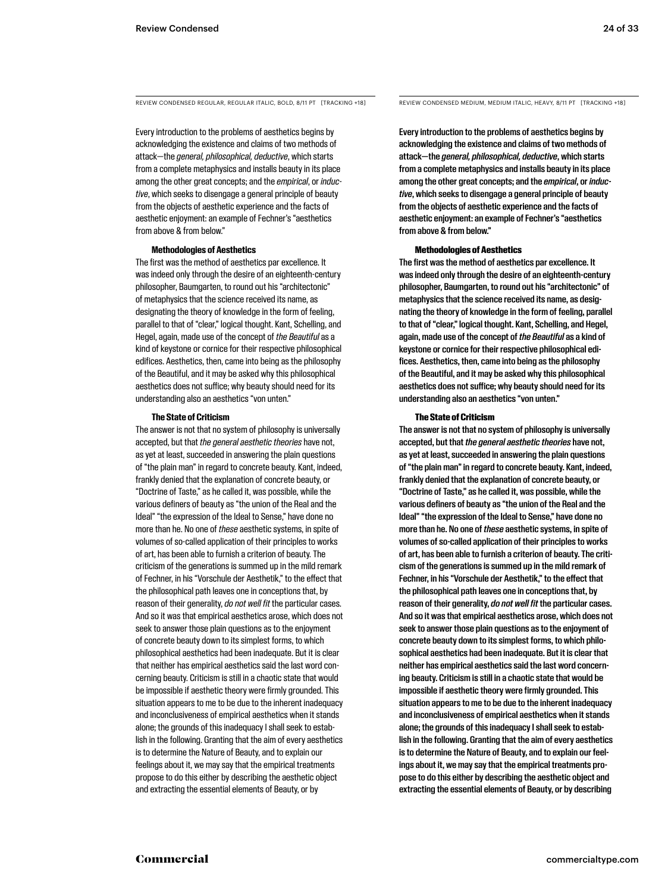REVIEW CONDENSED REGULAR, REGULAR ITALIC, BOLD, 8/11 PT [TRACKING +18] REVIEW CONDENSED MEDIUM, MEDIUM ITALIC, HEAVY, 8/11 PT [TRACKING +18]

Every introduction to the problems of aesthetics begins by acknowledging the existence and claims of two methods of attack—the *general, philosophical, deductive*, which starts from a complete metaphysics and installs beauty in its place among the other great concepts; and the *empirical*, or *inductive*, which seeks to disengage a general principle of beauty from the objects of aesthetic experience and the facts of aesthetic enjoyment: an example of Fechner's "aesthetics from above & from below."

#### **Methodologies of Aesthetics**

The first was the method of aesthetics par excellence. It was indeed only through the desire of an eighteenth-century philosopher, Baumgarten, to round out his "architectonic" of metaphysics that the science received its name, as designating the theory of knowledge in the form of feeling, parallel to that of "clear," logical thought. Kant, Schelling, and Hegel, again, made use of the concept of *the Beautiful* as a kind of keystone or cornice for their respective philosophical edifices. Aesthetics, then, came into being as the philosophy of the Beautiful, and it may be asked why this philosophical aesthetics does not suffice; why beauty should need for its understanding also an aesthetics "von unten."

#### **The State of Criticism**

The answer is not that no system of philosophy is universally accepted, but that *the general aesthetic theories* have not, as yet at least, succeeded in answering the plain questions of "the plain man" in regard to concrete beauty. Kant, indeed, frankly denied that the explanation of concrete beauty, or "Doctrine of Taste," as he called it, was possible, while the various definers of beauty as "the union of the Real and the Ideal" "the expression of the Ideal to Sense," have done no more than he. No one of *these* aesthetic systems, in spite of volumes of so-called application of their principles to works of art, has been able to furnish a criterion of beauty. The criticism of the generations is summed up in the mild remark of Fechner, in his "Vorschule der Aesthetik," to the effect that the philosophical path leaves one in conceptions that, by reason of their generality, *do not well fit* the particular cases. And so it was that empirical aesthetics arose, which does not seek to answer those plain questions as to the enjoyment of concrete beauty down to its simplest forms, to which philosophical aesthetics had been inadequate. But it is clear that neither has empirical aesthetics said the last word concerning beauty. Criticism is still in a chaotic state that would be impossible if aesthetic theory were firmly grounded. This situation appears to me to be due to the inherent inadequacy and inconclusiveness of empirical aesthetics when it stands alone; the grounds of this inadequacy I shall seek to establish in the following. Granting that the aim of every aesthetics is to determine the Nature of Beauty, and to explain our feelings about it, we may say that the empirical treatments propose to do this either by describing the aesthetic object and extracting the essential elements of Beauty, or by

Every introduction to the problems of aesthetics begins by acknowledging the existence and claims of two methods of attack—the *general, philosophical, deductive*, which starts from a complete metaphysics and installs beauty in its place among the other great concepts; and the *empirical*, or *inductive*, which seeks to disengage a general principle of beauty from the objects of aesthetic experience and the facts of aesthetic enjoyment: an example of Fechner's "aesthetics from above & from below."

#### Methodologies of Aesthetics

The first was the method of aesthetics par excellence. It was indeed only through the desire of an eighteenth-century philosopher, Baumgarten, to round out his "architectonic" of metaphysics that the science received its name, as designating the theory of knowledge in the form of feeling, parallel to that of "clear," logical thought. Kant, Schelling, and Hegel, again, made use of the concept of *the Beautiful* as a kind of keystone or cornice for their respective philosophical edifices. Aesthetics, then, came into being as the philosophy of the Beautiful, and it may be asked why this philosophical aesthetics does not suffice; why beauty should need for its understanding also an aesthetics "von unten."

#### The State of Criticism

The answer is not that no system of philosophy is universally accepted, but that *the general aesthetic theories* have not, as yet at least, succeeded in answering the plain questions of "the plain man" in regard to concrete beauty. Kant, indeed, frankly denied that the explanation of concrete beauty, or "Doctrine of Taste," as he called it, was possible, while the various definers of beauty as "the union of the Real and the Ideal" "the expression of the Ideal to Sense," have done no more than he. No one of *these* aesthetic systems, in spite of volumes of so-called application of their principles to works of art, has been able to furnish a criterion of beauty. The criticism of the generations is summed up in the mild remark of Fechner, in his "Vorschule der Aesthetik," to the effect that the philosophical path leaves one in conceptions that, by reason of their generality, *do not well fit* the particular cases. And so it was that empirical aesthetics arose, which does not seek to answer those plain questions as to the enjoyment of concrete beauty down to its simplest forms, to which philosophical aesthetics had been inadequate. But it is clear that neither has empirical aesthetics said the last word concerning beauty. Criticism is still in a chaotic state that would be impossible if aesthetic theory were firmly grounded. This situation appears to me to be due to the inherent inadequacy and inconclusiveness of empirical aesthetics when it stands alone; the grounds of this inadequacy I shall seek to establish in the following. Granting that the aim of every aesthetics is to determine the Nature of Beauty, and to explain our feelings about it, we may say that the empirical treatments propose to do this either by describing the aesthetic object and extracting the essential elements of Beauty, or by describing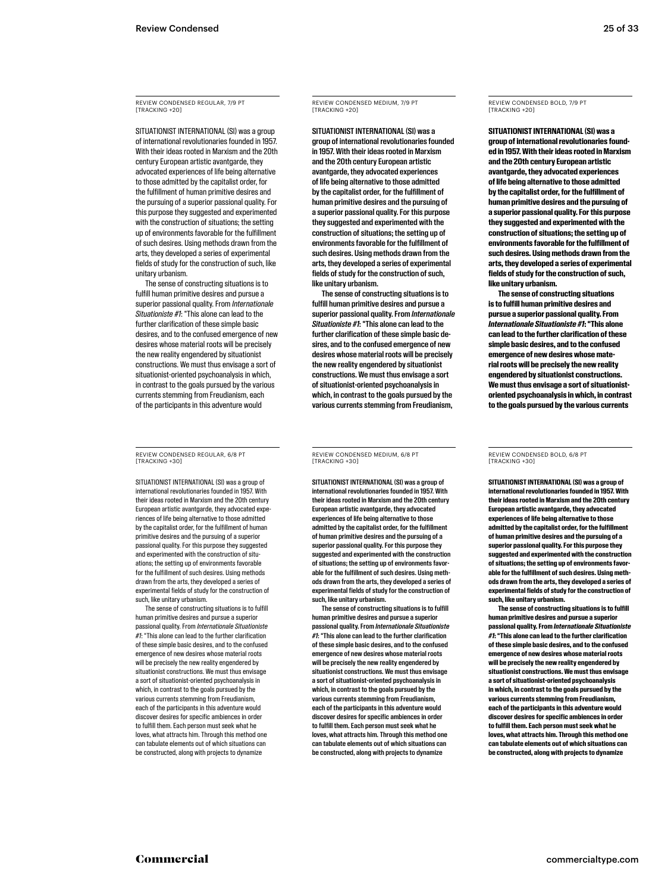REVIEW CONDENSED REGULAR, 7/9 PT **ITRACKING +20]** 

SITUATIONIST INTERNATIONAL (SI) was a group of international revolutionaries founded in 1957. With their ideas rooted in Marxism and the 20th century European artistic avantgarde, they advocated experiences of life being alternative to those admitted by the capitalist order, for the fulfillment of human primitive desires and the pursuing of a superior passional quality. For this purpose they suggested and experimented with the construction of situations; the setting up of environments favorable for the fulfillment of such desires. Using methods drawn from the arts, they developed a series of experimental fields of study for the construction of such, like unitary urbanism.

The sense of constructing situations is to fulfill human primitive desires and pursue a superior passional quality. From *Internationale Situationiste #1*: "This alone can lead to the further clarification of these simple basic desires, and to the confused emergence of new desires whose material roots will be precisely the new reality engendered by situationist constructions. We must thus envisage a sort of situationist-oriented psychoanalysis in which, in contrast to the goals pursued by the various currents stemming from Freudianism, each of the participants in this adventure would

REVIEW CONDENSED REGULAR, 6/8 PT [TRACKING +30]

SITUATIONIST INTERNATIONAL (SI) was a group of international revolutionaries founded in 1957. With their ideas rooted in Marxism and the 20th century European artistic avantgarde, they advocated experiences of life being alternative to those admitted by the capitalist order, for the fulfillment of human primitive desires and the pursuing of a superior passional quality. For this purpose they suggested and experimented with the construction of situations; the setting up of environments favorable for the fulfillment of such desires. Using methods drawn from the arts, they developed a series of experimental fields of study for the construction of such, like unitary urbanism.

The sense of constructing situations is to fulfill human primitive desires and pursue a superior passional quality. From *Internationale Situationiste #1*: "This alone can lead to the further clarification of these simple basic desires, and to the confused emergence of new desires whose material roots will be precisely the new reality engendered by situationist constructions. We must thus envisage a sort of situationist-oriented psychoanalysis in which, in contrast to the goals pursued by the various currents stemming from Freudianism, each of the participants in this adventure would discover desires for specific ambiences in order to fulfill them. Each person must seek what he loves, what attracts him. Through this method one can tabulate elements out of which situations can be constructed, along with projects to dynamize

REVIEW CONDENSED MEDIUM, 7/9 PT **ITRACKING +20]** 

SITUATIONIST INTERNATIONAL (SI) was a group of international revolutionaries founded in 1957. With their ideas rooted in Marxism and the 20th century European artistic avantgarde, they advocated experiences of life being alternative to those admitted by the capitalist order, for the fulfillment of human primitive desires and the pursuing of a superior passional quality. For this purpose they suggested and experimented with the construction of situations; the setting up of environments favorable for the fulfillment of such desires. Using methods drawn from the arts, they developed a series of experimental fields of study for the construction of such, like unitary urbanism.

The sense of constructing situations is to fulfill human primitive desires and pursue a superior passional quality. From *Internationale Situationiste #1*: "This alone can lead to the further clarification of these simple basic desires, and to the confused emergence of new desires whose material roots will be precisely the new reality engendered by situationist constructions. We must thus envisage a sort of situationist-oriented psychoanalysis in which, in contrast to the goals pursued by the various currents stemming from Freudianism,

REVIEW CONDENSED MEDIUM, 6/8 PT [TRACKING +30]

SITUATIONIST INTERNATIONAL (SI) was a group of international revolutionaries founded in 1957. With their ideas rooted in Marxism and the 20th century European artistic avantgarde, they advocated experiences of life being alternative to those admitted by the capitalist order, for the fulfillment of human primitive desires and the pursuing of a superior passional quality. For this purpose they suggested and experimented with the construction of situations; the setting up of environments favorable for the fulfillment of such desires. Using methods drawn from the arts, they developed a series of experimental fields of study for the construction of such, like unitary urbanism.

The sense of constructing situations is to fulfill human primitive desires and pursue a superior passional quality. From *Internationale Situationiste #1*: "This alone can lead to the further clarification of these simple basic desires, and to the confused emergence of new desires whose material roots will be precisely the new reality engendered by situationist constructions. We must thus envisage a sort of situationist-oriented psychoanalysis in which, in contrast to the goals pursued by the various currents stemming from Freudianism, each of the participants in this adventure would discover desires for specific ambiences in order to fulfill them. Each person must seek what he loves, what attracts him. Through this method one can tabulate elements out of which situations can be constructed, along with projects to dynamize

REVIEW CONDENSED BOLD, 7/9 PT [TRACKING +20]

**SITUATIONIST INTERNATIONAL (SI) was a group of international revolutionaries founded in 1957. With their ideas rooted in Marxism and the 20th century European artistic avantgarde, they advocated experiences of life being alternative to those admitted by the capitalist order, for the fulfillment of human primitive desires and the pursuing of a superior passional quality. For this purpose they suggested and experimented with the construction of situations; the setting up of environments favorable for the fulfillment of such desires. Using methods drawn from the arts, they developed a series of experimental fields of study for the construction of such, like unitary urbanism.**

**The sense of constructing situations is to fulfill human primitive desires and pursue a superior passional quality. From**  *Internationale Situationiste #1***: "This alone can lead to the further clarification of these simple basic desires, and to the confused emergence of new desires whose material roots will be precisely the new reality engendered by situationist constructions. We must thus envisage a sort of situationistoriented psychoanalysis in which, in contrast to the goals pursued by the various currents** 

REVIEW CONDENSED BOLD, 6/8 PT [TRACKING +30]

**SITUATIONIST INTERNATIONAL (SI) was a group of international revolutionaries founded in 1957. With their ideas rooted in Marxism and the 20th century European artistic avantgarde, they advocated experiences of life being alternative to those admitted by the capitalist order, for the fulfillment of human primitive desires and the pursuing of a superior passional quality. For this purpose they suggested and experimented with the construction of situations; the setting up of environments favorable for the fulfillment of such desires. Using methods drawn from the arts, they developed a series of experimental fields of study for the construction of such, like unitary urbanism.**

**The sense of constructing situations is to fulfill human primitive desires and pursue a superior passional quality. From** *Internationale Situationiste #1***: "This alone can lead to the further clarification of these simple basic desires, and to the confused emergence of new desires whose material roots will be precisely the new reality engendered by situationist constructions. We must thus envisage a sort of situationist-oriented psychoanalysis in which, in contrast to the goals pursued by the various currents stemming from Freudianism, each of the participants in this adventure would discover desires for specific ambiences in order to fulfill them. Each person must seek what he loves, what attracts him. Through this method one can tabulate elements out of which situations can be constructed, along with projects to dynamize**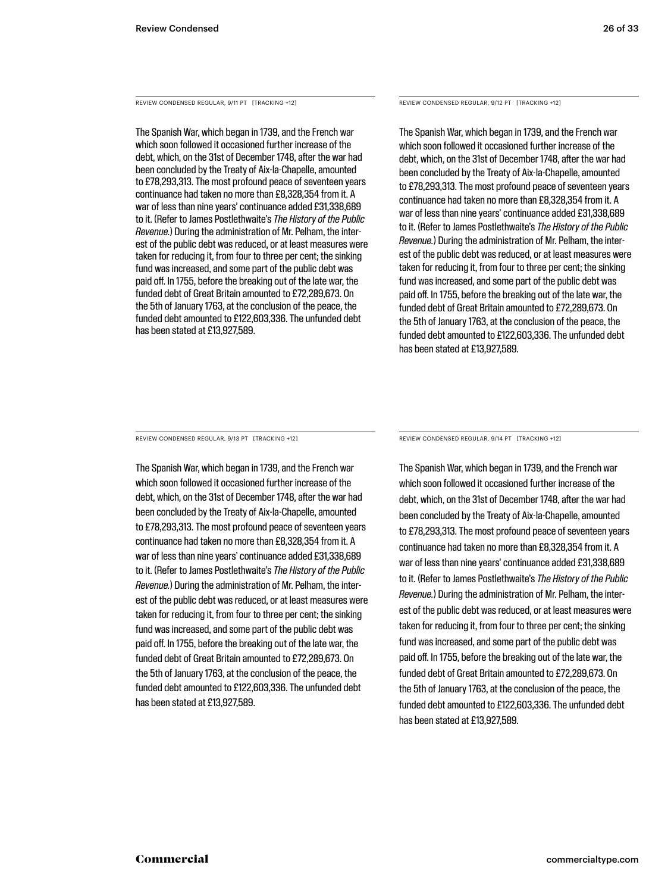REVIEW CONDENSED REGULAR, 9/11 PT [TRACKING +12]

The Spanish War, which began in 1739, and the French war which soon followed it occasioned further increase of the debt, which, on the 31st of December 1748, after the war had been concluded by the Treaty of Aix-la-Chapelle, amounted to £78,293,313. The most profound peace of seventeen years continuance had taken no more than £8,328,354 from it. A war of less than nine years' continuance added £31,338,689 to it. (Refer to James Postlethwaite's *The History of the Public Revenue.*) During the administration of Mr. Pelham, the interest of the public debt was reduced, or at least measures were taken for reducing it, from four to three per cent; the sinking fund was increased, and some part of the public debt was paid off. In 1755, before the breaking out of the late war, the funded debt of Great Britain amounted to £72,289,673. On the 5th of January 1763, at the conclusion of the peace, the funded debt amounted to £122,603,336. The unfunded debt has been stated at £13,927,589.

REVIEW CONDENSED REGULAR, 9/12 PT [TRACKING +12]

The Spanish War, which began in 1739, and the French war which soon followed it occasioned further increase of the debt, which, on the 31st of December 1748, after the war had been concluded by the Treaty of Aix-la-Chapelle, amounted to £78,293,313. The most profound peace of seventeen years continuance had taken no more than £8,328,354 from it. A war of less than nine years' continuance added £31,338,689 to it. (Refer to James Postlethwaite's *The History of the Public Revenue.*) During the administration of Mr. Pelham, the interest of the public debt was reduced, or at least measures were taken for reducing it, from four to three per cent; the sinking fund was increased, and some part of the public debt was paid off. In 1755, before the breaking out of the late war, the funded debt of Great Britain amounted to £72,289,673. On the 5th of January 1763, at the conclusion of the peace, the funded debt amounted to £122,603,336. The unfunded debt has been stated at £13,927,589.

REVIEW CONDENSED REGULAR, 9/13 PT [TRACKING +12]

The Spanish War, which began in 1739, and the French war which soon followed it occasioned further increase of the debt, which, on the 31st of December 1748, after the war had been concluded by the Treaty of Aix-la-Chapelle, amounted to £78,293,313. The most profound peace of seventeen years continuance had taken no more than £8,328,354 from it. A war of less than nine years' continuance added £31,338,689 to it. (Refer to James Postlethwaite's *The History of the Public Revenue.*) During the administration of Mr. Pelham, the interest of the public debt was reduced, or at least measures were taken for reducing it, from four to three per cent; the sinking fund was increased, and some part of the public debt was paid off. In 1755, before the breaking out of the late war, the funded debt of Great Britain amounted to £72,289,673. On the 5th of January 1763, at the conclusion of the peace, the funded debt amounted to £122,603,336. The unfunded debt has been stated at £13,927,589.

REVIEW CONDENSED REGULAR, 9/14 PT [TRACKING +12]

The Spanish War, which began in 1739, and the French war which soon followed it occasioned further increase of the debt, which, on the 31st of December 1748, after the war had been concluded by the Treaty of Aix-la-Chapelle, amounted to £78,293,313. The most profound peace of seventeen years continuance had taken no more than £8,328,354 from it. A war of less than nine years' continuance added £31,338,689 to it. (Refer to James Postlethwaite's *The History of the Public Revenue.*) During the administration of Mr. Pelham, the interest of the public debt was reduced, or at least measures were taken for reducing it, from four to three per cent; the sinking fund was increased, and some part of the public debt was paid off. In 1755, before the breaking out of the late war, the funded debt of Great Britain amounted to £72,289,673. On the 5th of January 1763, at the conclusion of the peace, the funded debt amounted to £122,603,336. The unfunded debt has been stated at £13,927,589.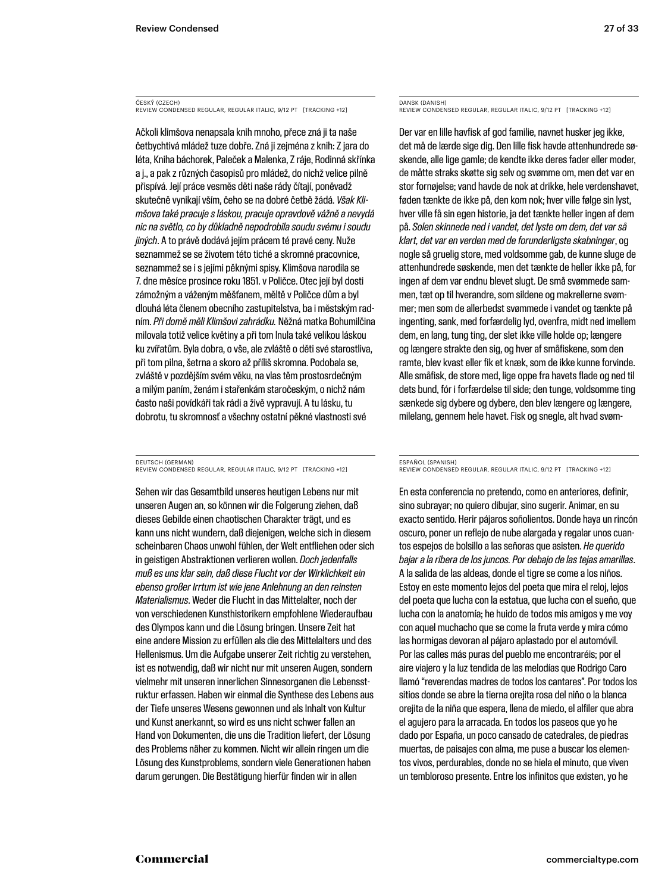ČESKÝ (CZECH) REVIEW CONDENSED REGULAR, REGULAR ITALIC, 9/12 PT [TRACKING +12]

Ačkoli klimšova nenapsala knih mnoho, přece zná ji ta naše četbychtivá mládež tuze dobře. Zná ji zejména z knih: Z jara do léta, Kniha báchorek, Paleček a Malenka, Z ráje, Rodinná skřínka a j., a pak z různých časopisů pro mládež, do nichž velice pilně přispívá. Její práce vesměs děti naše rády čítají, poněvadž skutečně vynikají vším, čeho se na dobré četbě žádá. *Však Klimšova také pracuje s láskou, pracuje opravdově vážně a nevydá nic na světlo, co by důkladně nepodrobila soudu svému i soudu jiných*. A to právě dodává jejím prácem té pravé ceny. Nuže seznammež se se životem této tiché a skromné pracovnice, seznammež se i s jejími pěknými spisy. Klimšova narodila se 7. dne měsíce prosince roku 1851. v Poličce. Otec její byl dosti zámožným a váženým měšťanem, měltě v Poličce dům a byl dlouhá léta členem obecního zastupitelstva, ba i městským radním. *Při domě měli Klimšovi zahrádku.* Něžná matka Bohumilčina milovala totiž velice květiny a při tom lnula také velikou láskou ku zvířatům. Byla dobra, o vše, ale zvláště o děti své starostliva, při tom pilna, šetrna a skoro až příliš skromna. Podobala se, zvláště v pozdějším svém věku, na vlas těm prostosrdečným a milým paním, ženám i stařenkám staročeským, o nichž nám často naši povídkáři tak rádi a živě vypravují. A tu lásku, tu dobrotu, tu skromnosť a všechny ostatní pěkné vlastnosti své

DEUTSCH (GERMAN) REVIEW CONDENSED REGULAR, REGULAR ITALIC, 9/12 PT [TRACKING +12]

Sehen wir das Gesamtbild unseres heutigen Lebens nur mit unseren Augen an, so können wir die Folgerung ziehen, daß dieses Gebilde einen chaotischen Charakter trägt, und es kann uns nicht wundern, daß diejenigen, welche sich in diesem scheinbaren Chaos unwohl fühlen, der Welt entfliehen oder sich in geistigen Abstraktionen verlieren wollen. *Doch jedenfalls muß es uns klar sein, daß diese Flucht vor der Wirklichkeit ein ebenso großer Irrtum ist wie jene Anlehnung an den reinsten Materialismus*. Weder die Flucht in das Mittelalter, noch der von verschiedenen Kunsthistorikern empfohlene Wiederaufbau des Olympos kann und die Lösung bringen. Unsere Zeit hat eine andere Mission zu erfüllen als die des Mittelalters und des Hellenismus. Um die Aufgabe unserer Zeit richtig zu verstehen, ist es notwendig, daß wir nicht nur mit unseren Augen, sondern vielmehr mit unseren innerlichen Sinnesorganen die Lebensstruktur erfassen. Haben wir einmal die Synthese des Lebens aus der Tiefe unseres Wesens gewonnen und als Inhalt von Kultur und Kunst anerkannt, so wird es uns nicht schwer fallen an Hand von Dokumenten, die uns die Tradition liefert, der Lösung des Problems näher zu kommen. Nicht wir allein ringen um die Lösung des Kunstproblems, sondern viele Generationen haben darum gerungen. Die Bestätigung hierfür finden wir in allen

DANSK (DANISH) REVIEW CONDENSED REGULAR, REGULAR ITALIC, 9/12 PT [TRACKING +12]

Der var en lille havfisk af god familie, navnet husker jeg ikke, det må de lærde sige dig. Den lille fisk havde attenhundrede søskende, alle lige gamle; de kendte ikke deres fader eller moder, de måtte straks skøtte sig selv og svømme om, men det var en stor fornøjelse; vand havde de nok at drikke, hele verdenshavet, føden tænkte de ikke på, den kom nok; hver ville følge sin lyst, hver ville få sin egen historie, ja det tænkte heller ingen af dem på. *Solen skinnede ned i vandet, det lyste om dem, det var så klart, det var en verden med de forunderligste skabninger*, og nogle så gruelig store, med voldsomme gab, de kunne sluge de attenhundrede søskende, men det tænkte de heller ikke på, for ingen af dem var endnu blevet slugt. De små svømmede sammen, tæt op til hverandre, som sildene og makrellerne svømmer; men som de allerbedst svømmede i vandet og tænkte på ingenting, sank, med forfærdelig lyd, ovenfra, midt ned imellem dem, en lang, tung ting, der slet ikke ville holde op; længere og længere strakte den sig, og hver af småfiskene, som den ramte, blev kvast eller fik et knæk, som de ikke kunne forvinde. Alle småfisk, de store med, lige oppe fra havets flade og ned til dets bund, fór i forfærdelse til side; den tunge, voldsomme ting sænkede sig dybere og dybere, den blev længere og længere, milelang, gennem hele havet. Fisk og snegle, alt hvad svøm-

ESPAÑOL (SPANISH)

REVIEW CONDENSED REGULAR, REGULAR ITALIC, 9/12 PT [TRACKING +12]

En esta conferencia no pretendo, como en anteriores, definir, sino subrayar; no quiero dibujar, sino sugerir. Animar, en su exacto sentido. Herir pájaros soñolientos. Donde haya un rincón oscuro, poner un reflejo de nube alargada y regalar unos cuantos espejos de bolsillo a las señoras que asisten. *He querido bajar a la ribera de los juncos. Por debajo de las tejas amarillas*. A la salida de las aldeas, donde el tigre se come a los niños. Estoy en este momento lejos del poeta que mira el reloj, lejos del poeta que lucha con la estatua, que lucha con el sueño, que lucha con la anatomía; he huido de todos mis amigos y me voy con aquel muchacho que se come la fruta verde y mira cómo las hormigas devoran al pájaro aplastado por el automóvil. Por las calles más puras del pueblo me encontraréis; por el aire viajero y la luz tendida de las melodías que Rodrigo Caro llamó "reverendas madres de todos los cantares". Por todos los sitios donde se abre la tierna orejita rosa del niño o la blanca orejita de la niña que espera, llena de miedo, el alfiler que abra el agujero para la arracada. En todos los paseos que yo he dado por España, un poco cansado de catedrales, de piedras muertas, de paisajes con alma, me puse a buscar los elementos vivos, perdurables, donde no se hiela el minuto, que viven un tembloroso presente. Entre los infinitos que existen, yo he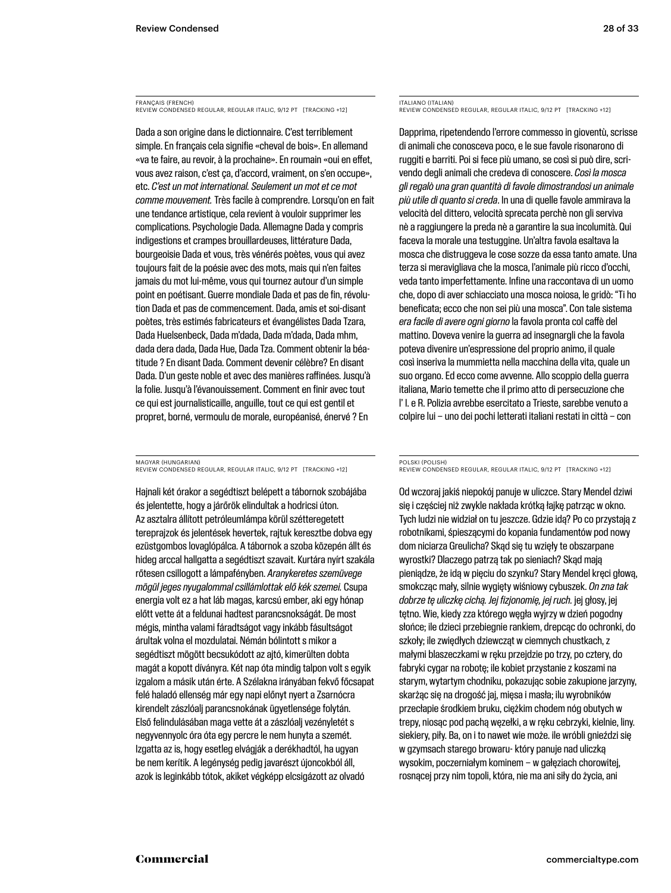FRANÇAIS (FRENCH) REVIEW CONDENSED REGULAR, REGULAR ITALIC, 9/12 PT [TRACKING +12]

Dada a son origine dans le dictionnaire. C'est terriblement simple. En français cela signifie «cheval de bois». En allemand «va te faire, au revoir, à la prochaine». En roumain «oui en effet, vous avez raison, c'est ça, d'accord, vraiment, on s'en occupe», etc. *C'est un mot international. Seulement un mot et ce mot comme mouvement.* Très facile à comprendre. Lorsqu'on en fait une tendance artistique, cela revient à vouloir supprimer les complications. Psychologie Dada. Allemagne Dada y compris indigestions et crampes brouillardeuses, littérature Dada, bourgeoisie Dada et vous, très vénérés poètes, vous qui avez toujours fait de la poésie avec des mots, mais qui n'en faites jamais du mot lui-même, vous qui tournez autour d'un simple point en poétisant. Guerre mondiale Dada et pas de fin, révolution Dada et pas de commencement. Dada, amis et soi-disant poètes, très estimés fabricateurs et évangélistes Dada Tzara, Dada Huelsenbeck, Dada m'dada, Dada m'dada, Dada mhm, dada dera dada, Dada Hue, Dada Tza. Comment obtenir la béatitude ? En disant Dada. Comment devenir célèbre? En disant Dada. D'un geste noble et avec des manières raffinées. Jusqu'à la folie. Jusqu'à l'évanouissement. Comment en finir avec tout ce qui est journalisticaille, anguille, tout ce qui est gentil et propret, borné, vermoulu de morale, européanisé, énervé ? En

MAGYAR (HUNGARIAN) REVIEW CONDENSED REGULAR, REGULAR ITALIC, 9/12 PT [TRACKING +12]

Hajnali két órakor a segédtiszt belépett a tábornok szobájába és jelentette, hogy a járőrök elindultak a hodricsi úton. Az asztalra állított petróleumlámpa körül szétteregetett tereprajzok és jelentések hevertek, rajtuk keresztbe dobva egy ezüstgombos lovaglópálca. A tábornok a szoba közepén állt és hideg arccal hallgatta a segédtiszt szavait. Kurtára nyírt szakála rőtesen csillogott a lámpafényben. *Aranykeretes szemüvege mögül jeges nyugalommal csillámlottak elő kék szemei.* Csupa energia volt ez a hat láb magas, karcsú ember, aki egy hónap előtt vette át a feldunai hadtest parancsnokságát. De most mégis, mintha valami fáradtságot vagy inkább fásultságot árultak volna el mozdulatai. Némán bólintott s mikor a segédtiszt mögött becsukódott az ajtó, kimerülten dobta magát a kopott díványra. Két nap óta mindig talpon volt s egyik izgalom a másik után érte. A Szélakna irányában fekvő főcsapat felé haladó ellenség már egy napi előnyt nyert a Zsarnócra kirendelt zászlóalj parancsnokának ügyetlensége folytán. Első felindulásában maga vette át a zászlóalj vezényletét s negyvennyolc óra óta egy percre le nem hunyta a szemét. Izgatta az is, hogy esetleg elvágják a derékhadtól, ha ugyan be nem kerítik. A legénység pedig javarészt újoncokból áll, azok is leginkább tótok, akiket végképp elcsigázott az olvadó

ITALIANO (ITALIAN) REVIEW CONDENSED REGULAR, REGULAR ITALIC, 9/12 PT [TRACKING +12]

Dapprima, ripetendendo l'errore commesso in gioventù, scrisse di animali che conosceva poco, e le sue favole risonarono di ruggiti e barriti. Poi si fece più umano, se così si può dire, scrivendo degli animali che credeva di conoscere. *Così la mosca gli regalò una gran quantità di favole dimostrandosi un animale più utile di quanto si creda*. In una di quelle favole ammirava la velocità del dittero, velocità sprecata perchè non gli serviva nè a raggiungere la preda nè a garantire la sua incolumità. Qui faceva la morale una testuggine. Un'altra favola esaltava la mosca che distruggeva le cose sozze da essa tanto amate. Una terza si meravigliava che la mosca, l'animale più ricco d'occhi, veda tanto imperfettamente. Infine una raccontava di un uomo che, dopo di aver schiacciato una mosca noiosa, le gridò: "Ti ho beneficata; ecco che non sei più una mosca". Con tale sistema *era facile di avere ogni giorno* la favola pronta col caffè del mattino. Doveva venire la guerra ad insegnargli che la favola poteva divenire un'espressione del proprio animo, il quale così inseriva la mummietta nella macchina della vita, quale un suo organo. Ed ecco come avvenne. Allo scoppio della guerra italiana, Mario temette che il primo atto di persecuzione che l' I. e R. Polizia avrebbe esercitato a Trieste, sarebbe venuto a colpire lui – uno dei pochi letterati italiani restati in città – con

POLSKI (POLISH) REVIEW CONDENSED REGULAR, REGULAR ITALIC, 9/12 PT [TRACKING +12]

Od wczoraj jakiś niepokój panuje w uliczce. Stary Mendel dziwi się i częściej niż zwykle nakłada krótką łajkę patrząc w okno. Tych ludzi nie widział on tu jeszcze. Gdzie idą? Po co przystają z robotnikami, śpieszącymi do kopania fundamentów pod nowy dom niciarza Greulicha? Skąd się tu wzięły te obszarpane wyrostki? Dlaczego patrzą tak po sieniach? Skąd mają pieniądze, że idą w pięciu do szynku? Stary Mendel kręci głową, smokcząc mały, silnie wygięty wiśniowy cybuszek. *On zna tak dobrze tę uliczkę cichą. Jej fizjonomię, jej ruch.* jej głosy, jej tętno. Wie, kiedy zza którego węgła wyjrzy w dzień pogodny słońce; ile dzieci przebiegnie rankiem, drepcąc do ochronki, do szkoły; ile zwiędłych dziewcząt w ciemnych chustkach, z małymi blaszeczkami w ręku przejdzie po trzy, po cztery, do fabryki cygar na robotę; ile kobiet przystanie z koszami na starym, wytartym chodniku, pokazując sobie zakupione jarzyny, skarżąc się na drogość jaj, mięsa i masła; ilu wyrobników przecłapie środkiem bruku, ciężkim chodem nóg obutych w trepy, niosąc pod pachą węzełki, a w ręku cebrzyki, kielnie, liny. siekiery, piły. Ba, on i to nawet wie może. ile wróbli gnieździ się w gzymsach starego browaru- który panuje nad uliczką wysokim, poczerniałym kominem – w gałęziach chorowitej, rosnącej przy nim topoli, która, nie ma ani siły do życia, ani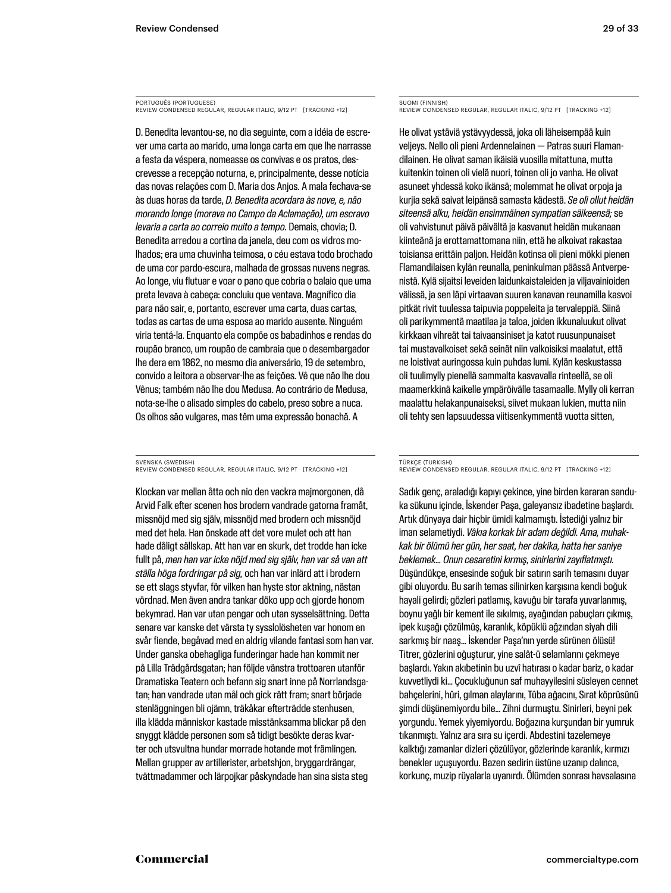PORTUGUÊS (PORTUGUESE) REVIEW CONDENSED REGULAR, REGULAR ITALIC, 9/12 PT [TRACKING +12]

D. Benedita levantou-se, no dia seguinte, com a idéia de escrever uma carta ao marido, uma longa carta em que lhe narrasse a festa da véspera, nomeasse os convivas e os pratos, descrevesse a recepção noturna, e, principalmente, desse notícia das novas relações com D. Maria dos Anjos. A mala fechava-se às duas horas da tarde, *D. Benedita acordara às nove, e, não morando longe (morava no Campo da Aclamação), um escravo levaria a carta ao correio muito a tempo.* Demais, chovia; D. Benedita arredou a cortina da janela, deu com os vidros molhados; era uma chuvinha teimosa, o céu estava todo brochado de uma cor pardo-escura, malhada de grossas nuvens negras. Ao longe, viu flutuar e voar o pano que cobria o balaio que uma preta levava à cabeça: concluiu que ventava. Magnífico dia para não sair, e, portanto, escrever uma carta, duas cartas, todas as cartas de uma esposa ao marido ausente. Ninguém viria tentá-la. Enquanto ela compõe os babadinhos e rendas do roupão branco, um roupão de cambraia que o desembargador lhe dera em 1862, no mesmo dia aniversário, 19 de setembro, convido a leitora a observar-lhe as feições. Vê que não lhe dou Vênus; também não lhe dou Medusa. Ao contrário de Medusa, nota-se-lhe o alisado simples do cabelo, preso sobre a nuca. Os olhos são vulgares, mas têm uma expressão bonachã. A

SVENSKA (SWEDISH) REVIEW CONDENSED REGULAR, REGULAR ITALIC, 9/12 PT [TRACKING +12]

Klockan var mellan åtta och nio den vackra majmorgonen, då Arvid Falk efter scenen hos brodern vandrade gatorna framåt, missnöjd med sig själv, missnöjd med brodern och missnöjd med det hela. Han önskade att det vore mulet och att han hade dåligt sällskap. Att han var en skurk, det trodde han icke fullt på, *men han var icke nöjd med sig själv, han var så van att ställa höga fordringar på sig,* och han var inlärd att i brodern se ett slags styvfar, för vilken han hyste stor aktning, nästan vördnad. Men även andra tankar döko upp och gjorde honom bekymrad. Han var utan pengar och utan sysselsättning. Detta senare var kanske det värsta ty sysslolösheten var honom en svår fiende, begåvad med en aldrig vilande fantasi som han var. Under ganska obehagliga funderingar hade han kommit ner på Lilla Trädgårdsgatan; han följde vänstra trottoaren utanför Dramatiska Teatern och befann sig snart inne på Norrlandsgatan; han vandrade utan mål och gick rätt fram; snart började stenläggningen bli ojämn, träkåkar efterträdde stenhusen, illa klädda människor kastade misstänksamma blickar på den snyggt klädde personen som så tidigt besökte deras kvarter och utsvultna hundar morrade hotande mot främlingen. Mellan grupper av artillerister, arbetshjon, bryggardrängar, tvättmadammer och lärpojkar påskyndade han sina sista steg

SUOMI (FINNISH) REVIEW CONDENSED REGULAR, REGULAR ITALIC, 9/12 PT [TRACKING +12]

He olivat ystäviä ystävyydessä, joka oli läheisempää kuin veljeys. Nello oli pieni Ardennelainen — Patras suuri Flamandilainen. He olivat saman ikäisiä vuosilla mitattuna, mutta kuitenkin toinen oli vielä nuori, toinen oli jo vanha. He olivat asuneet yhdessä koko ikänsä; molemmat he olivat orpoja ja kurjia sekä saivat leipänsä samasta kädestä. *Se oli ollut heidän siteensä alku, heidän ensimmäinen sympatian säikeensä;* se oli vahvistunut päivä päivältä ja kasvanut heidän mukanaan kiinteänä ja erottamattomana niin, että he alkoivat rakastaa toisiansa erittäin paljon. Heidän kotinsa oli pieni mökki pienen Flamandilaisen kylän reunalla, peninkulman päässä Antverpenistä. Kylä sijaitsi leveiden laidunkaistaleiden ja viljavainioiden välissä, ja sen läpi virtaavan suuren kanavan reunamilla kasvoi pitkät rivit tuulessa taipuvia poppeleita ja tervaleppiä. Siinä oli parikymmentä maatilaa ja taloa, joiden ikkunaluukut olivat kirkkaan vihreät tai taivaansiniset ja katot ruusunpunaiset tai mustavalkoiset sekä seinät niin valkoisiksi maalatut, että ne loistivat auringossa kuin puhdas lumi. Kylän keskustassa oli tuulimylly pienellä sammalta kasvavalla rinteellä, se oli maamerkkinä kaikelle ympäröivälle tasamaalle. Mylly oli kerran maalattu helakanpunaiseksi, siivet mukaan lukien, mutta niin oli tehty sen lapsuudessa viitisenkymmentä vuotta sitten,

TÜRKÇE (TURKISH)

REVIEW CONDENSED REGULAR, REGULAR ITALIC, 9/12 PT [TRACKING +12]

Sadık genç, araladığı kapıyı çekince, yine birden kararan sanduka sükunu içinde, İskender Paşa, galeyansız ibadetine başlardı. Artık dünyaya dair hiçbir ümidi kalmamıştı. İstediği yalnız bir iman selametiydi. *Vâkıa korkak bir adam değildi. Ama, muhakkak bir ölümü her gün, her saat, her dakika, hatta her saniye beklemek… Onun cesaretini kırmış, sinirlerini zayıflatmıştı.* Düşündükçe, ensesinde soğuk bir satırın sarih temasını duyar gibi oluyordu. Bu sarih temas silinirken karşısına kendi boğuk hayali gelirdi; gözleri patlamış, kavuğu bir tarafa yuvarlanmış, boynu yağlı bir kement ile sıkılmış, ayağından pabuçları çıkmış, ipek kuşağı çözülmüş, karanlık, köpüklü ağzından siyah dili sarkmış bir naaş… İskender Paşa'nın yerde sürünen ölüsü! Titrer, gözlerini oğuşturur, yine salât-ü selamlarını çekmeye başlardı. Yakın akıbetinin bu uzvî hatırası o kadar bariz, o kadar kuvvetliydi ki… Çocukluğunun saf muhayyilesini süsleyen cennet bahçelerini, hûri, gılman alaylarını, Tûba ağacını, Sırat köprüsünü şimdi düşünemiyordu bile… Zihni durmuştu. Sinirleri, beyni pek yorgundu. Yemek yiyemiyordu. Boğazına kurşundan bir yumruk tıkanmıştı. Yalnız ara sıra su içerdi. Abdestini tazelemeye kalktığı zamanlar dizleri çözülüyor, gözlerinde karanlık, kırmızı benekler uçuşuyordu. Bazen sedirin üstüne uzanıp dalınca, korkunç, muzip rüyalarla uyanırdı. Ölümden sonrası havsalasına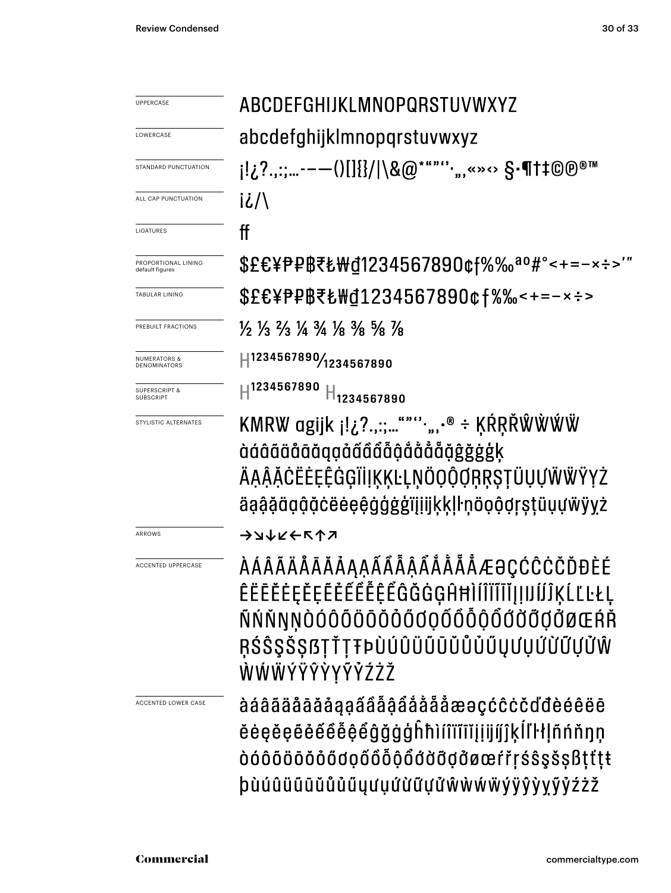| <b>UPPERCASE</b>                             | ABCDEFGHIJKLMNOPQRSTUVWXYZ                                                                                                                                                      |  |  |  |  |
|----------------------------------------------|---------------------------------------------------------------------------------------------------------------------------------------------------------------------------------|--|--|--|--|
| LOWERCASE                                    | abcdefghijklmnopqrstuvwxyz                                                                                                                                                      |  |  |  |  |
| STANDARD PUNCTUATION                         | ¡!¿?.,:;--—()[]{}/ \&@*""'''",«»↔ §•¶†‡©®™                                                                                                                                      |  |  |  |  |
| ALL CAP PUNCTUATION                          | i¿/\                                                                                                                                                                            |  |  |  |  |
| <b>LIGATURES</b>                             | ff                                                                                                                                                                              |  |  |  |  |
| PROPORTIONAL LINING<br>default figures       | \$£€¥₱₽₿₹₺₩₫1234567890¢f%‰ª°#°<+=-×÷>'"                                                                                                                                         |  |  |  |  |
| <b>TABULAR LINING</b>                        | \$£€¥₱₽₿₹₺₩₫1234567890¢f%‰<+=-×÷>                                                                                                                                               |  |  |  |  |
| PREBUILT FRACTIONS                           | $\frac{1}{2}$ $\frac{1}{3}$ $\frac{2}{3}$ $\frac{1}{4}$ $\frac{3}{4}$ $\frac{1}{8}$ $\frac{3}{8}$ $\frac{5}{8}$ $\frac{7}{8}$                                                   |  |  |  |  |
| <b>NUMERATORS &amp;</b><br>DENOMINATORS      | 41234567890/1234567890                                                                                                                                                          |  |  |  |  |
| <b>SUPERSCRIPT &amp;</b><br><b>SUBSCRIPT</b> | ${\rm H}^{1234567890}$<br>$H_{1234567890}$                                                                                                                                      |  |  |  |  |
| STYLISTIC ALTERNATES                         | KMRW agijk j!¿?.,:;"""",,,.® ÷ KŔRŘŴŴŴŴ<br>àáâãäåāãaqaããããậåååååååġġġġķ<br>ÄĄĄ̃ĂĊËĖĘÊĠĢĬİĮĶĶĿĻŅÖQỘợŖŖŞŢÜŲŲŴŴŸYŻ<br>äąậặäạậặċëėeệġģġġïįiijķķļŀņöọộợŗşţüụựẅÿyż                    |  |  |  |  |
| ARROWS                                       | →⊿↓∠←↖↑↗                                                                                                                                                                        |  |  |  |  |
| <b>ACCENTED UPPERCASE</b>                    | <i><b>ÀÁÂÃÄÅĀĂĂĄĄÃÃÂÃÅÅÅÅÆƏÇĆĈĊČĎĐÈÉ</b></i><br>ÊËĒĔĖĘĚĘĔĚĚĚÊÊÊĜĞĞĠĢĤĦÌÍÎÏĨĬĮĮIJĺĴĶĹĽĿŁĻ<br>ÑŃŇŊŅÒÓÔÕÖŌŎŎŐŐQQŐÔÕQŐŐŎŎŎØŒŔŘ<br>ŖŚŜŞŠȘßŢŤŢŦÞÙÚÛÜŨŨŨŮŮŮŰŲƯŲŰŬŨƯŮŴ<br>ŴŴŴÝŸŶŶYŶŶŹŻŽ |  |  |  |  |
| ACCENTED LOWER CASE                          | àáâãäåāāǎåaaââåååååååæaçćĉċčďđèéêëē<br>ĕėęĕęẽ̃ẽẽẽė̃ẽẽĝğġģĥħìíîïĩĭįįijíj̃}ķĺľŀłḷñńňŋņ<br>dóôōöōŏóődoõôôôôddöddøæŕřŗśŝşšşßţťţŧ<br>þùúûüūūŭůůűyưụứừữựửŵẁẃẅÿŷỳyỹỷźżž                |  |  |  |  |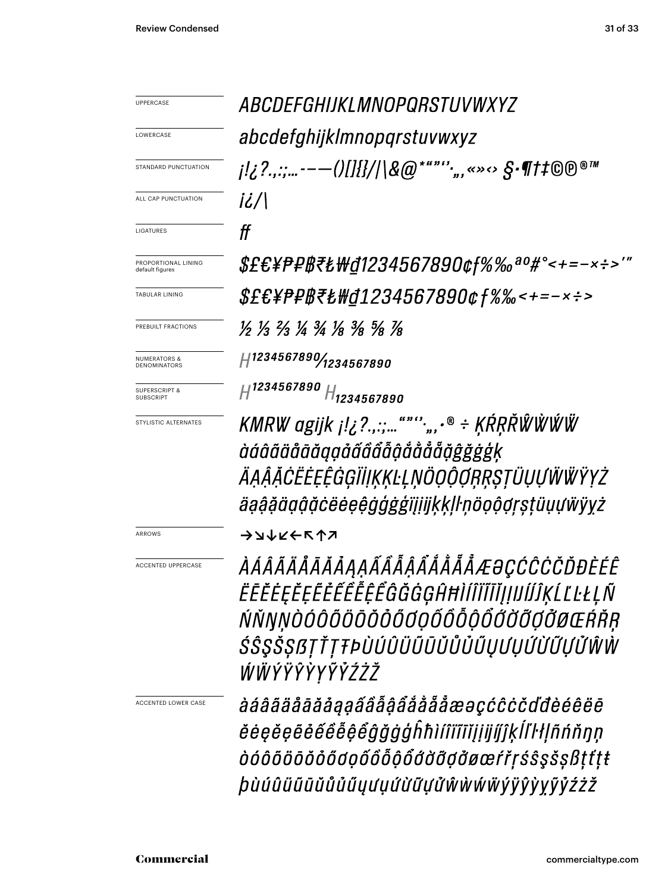UPPERCASE LOWERCASE STANDARD PUNCTUATION  $i\ell/\ell$ ALL CAP PUNCTUATION  $f f$ LIGATURES PROPORTIONAL LINING default figures TABULAR LINING PREBUILT FRACTIONS NUMERATORS & DENOMINATORS SUPERSCRIPT & **SUBSCRIPT** STYLISTIC ALTERNATES **ナンナスナイン** ACCENTED LOWER CASE

ABCDEFGHIJKLMNOPORSTUVWXYZ abcdefghijklmnopgrstuvwxyz  $\{1,2^2,...\,---()$   $\{1\}$   $\{1\}$   $\{1\}$   $\{2,3^2,...\,---()$   $\{1\}$   $\{1\}$   $\{2\}$   $\{0\}$   $\{0\}$   $\{0\}$   $\{0\}$   $\{0\}$   $\{0\}$   $\{0\}$   $\{0\}$   $\{0\}$   $\{0\}$   $\{0\}$   $\{0\}$   $\{0\}$   $\{0\}$   $\{0\}$   $\{0\}$   $\{0\}$   $\{0\$ \$£€¥₱₽₿₹₺₩₫1234567890¢f%‰ªº#°<+=-×÷>'" \$£€¥₱₽₿₹₺₩₫1234567890¢f%‰<+=-×÷>  $\frac{1}{2}$   $\frac{1}{3}$   $\frac{2}{3}$   $\frac{1}{4}$   $\frac{3}{4}$   $\frac{1}{8}$   $\frac{3}{8}$   $\frac{5}{8}$   $\frac{1}{8}$ H1234567890/1234567890

 $H^{1234567890}$   $H_{1234567890}$ 

KMRW agijk j!¿?.,:;...""";,, $\cdot$ ® ÷ KŔŖŘŴŴŴ àáâãäåāāagaåãâåååååååå ÄĄĄĄŬĊĔĖĘĘĠĢĬĬĮĶĶĿĻŅÖQŎŎŖŖŞŢŨŲŲŴŴŸYŻ äąą̂ą̃äąą̂ą̃čëėeę̂ĝģġģiįįijķķḷŀņöọộợŗṣṭüụựẅÿyż

ARROWS

ACCENTED UPPERCASE

ÀÁÂÃÄÅÅĀĂÅĄĄÁÃÃÅÅÅÅÅÅÅÆƏÇĆĈĊČĎĐÈÉÊ ĔĒĔĖĘĚĘĔĔĔĔĔĔĔĜĞĞĠĠĤĦÌĺÎÏĨĬĮIJIJIJŔĸĹĽĿŁĻÑ ŃŇŊŅÒÓÔÕÖŌŎŎŎŐŨQŐŐÕÕŐŎŎŎŎØŒŔŘŖ ŚŜŞŠŞßŢŤŢŦÞÙÚÛÜŨŨŨŮŮŮŰŲƯŲŰŬŨŲŮŴŴ ŴŴŶŸŶŶYŶŶŹŹŽ

àáâãäåāāăaaaấâẫậẩååååæəçćĉċčďđèéêëē ĕėęĕęẽė́é̃ė̃ė̃ệ̃ẽĝğġģĥħìíîïĩĭjịijííĵkĺľŀłļñńňŋn òóôõöōŏðőãoọốôỗộổđờỡợđøœŕřŗśŝşšşßṭťṭŧ *þùúûüūūŭůůűyưụứừữựửŵ*wŵŵÿÿŷỳyỹỷźżž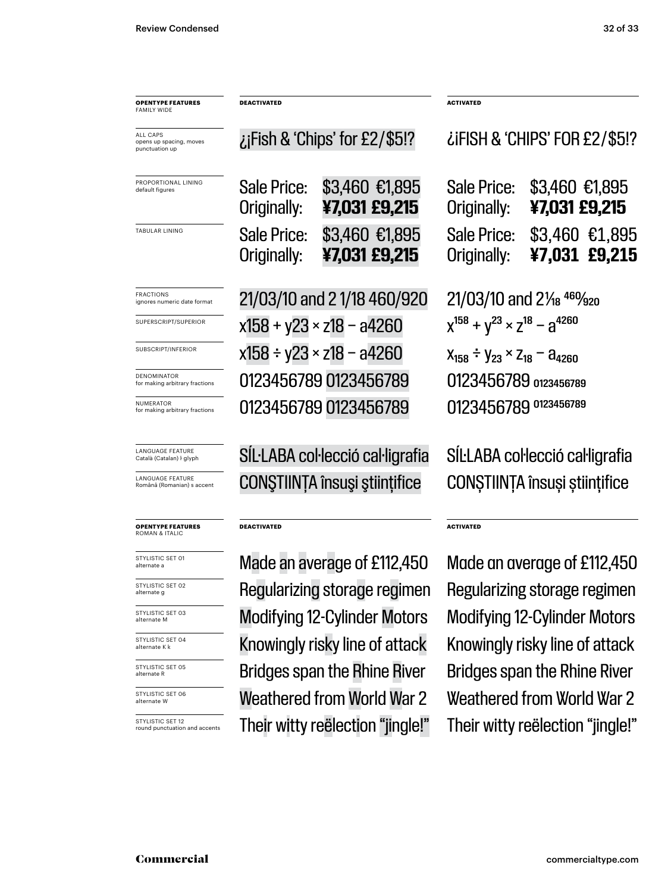| <b>OPENTYPE FEATURES</b><br><b>FAMILY WIDE</b>        | <b>DEACTIVATED</b>                   |                                     | <b>ACTIVATED</b>                                      |                                  |
|-------------------------------------------------------|--------------------------------------|-------------------------------------|-------------------------------------------------------|----------------------------------|
| ALL CAPS<br>opens up spacing, moves<br>punctuation up | iFish & 'Chips' for £2/\$5!?         |                                     | LIFISH & 'CHIPS' FOR £2/\$5!?                         |                                  |
| PROPORTIONAL LINING<br>default figures                | <b>Sale Price:</b><br>Originally:    | \$3,460 €1,895<br>¥7,031 £9,215     | Sale Price:<br>Originally:                            | \$3,460 €1,895<br>¥7,031 £9,215  |
| TABULAR LINING                                        | <b>Sale Price:</b><br>Originally:    | \$3,460 €1,895<br>¥7,031 £9,215     | Sale Price:<br>Originally:                            | $$3,460$ £1,895<br>¥7,031 £9,215 |
| <b>FRACTIONS</b><br>ignores numeric date format       | 21/03/10 and 21/18 460/920           |                                     | $21/03/10$ and $2\frac{1}{8}$ $46\frac{1}{2}$ $920$   |                                  |
| SUPERSCRIPT/SUPERIOR                                  | $x158 + y23 \times z18 - a4260$      |                                     | $\chi^{158}$ + $\chi^{23}$ × $\chi^{18}$ – $a^{4260}$ |                                  |
| SUBSCRIPT/INFERIOR                                    | x158 ÷ y23 × z18 – a4260             |                                     | $X_{158} \div Y_{23} \times Z_{18} - A_{4260}$        |                                  |
| DENOMINATOR<br>for making arbitrary fractions         | 0123456789 0123456789                |                                     | 0123456789 0123456789                                 |                                  |
| <b>NUMERATOR</b><br>for making arbitrary fractions    |                                      | 0123456789 0123456789               | 0123456789 0123456789                                 |                                  |
| <b>LANGUAGE FEATURE</b><br>Català (Catalan) ŀ glyph   |                                      | SIL·LABA col·lecció cal·ligrafia    | SILLABA col·lecció cal·ligrafia                       |                                  |
| LANGUAGE FEATURE<br>Română (Romanian) s accent        | <b>CONSTIINTA</b> însuși științifice |                                     | CONȘTIINȚA însuși științifice                         |                                  |
| <b>OPENTYPE FEATURES</b><br><b>ROMAN &amp; ITALIC</b> | <b>DEACTIVATED</b>                   |                                     | <b>ACTIVATED</b>                                      |                                  |
| STYLISTIC SET 01<br>alternate a                       | Made an average of £112,450          |                                     | Made an average of £112,450                           |                                  |
| STYLISTIC SET 02<br>alternate g                       | Regularizing storage regimen         |                                     | Regularizing storage regimen                          |                                  |
| STYLISTIC SET 03<br>alternate M                       | <b>Modifying 12-Cylinder Motors</b>  |                                     | <b>Modifying 12-Cylinder Motors</b>                   |                                  |
| STYLISTIC SET 04<br>alternate K k                     |                                      | Knowingly risky line of attack      | Knowingly risky line of attack                        |                                  |
| STYLISTIC SET 05<br>alternate R                       |                                      | <b>Bridges span the Rhine River</b> | <b>Bridges span the Rhine River</b>                   |                                  |
| STYLISTIC SET 06<br>alternate W                       |                                      | <b>Weathered from World War 2</b>   | Weathered from World War 2                            |                                  |
| STYLISTIC SET 12<br>round punctuation and accents     |                                      | Their witty reëlection "jingle!"    | Their witty reëlection "jingle!"                      |                                  |